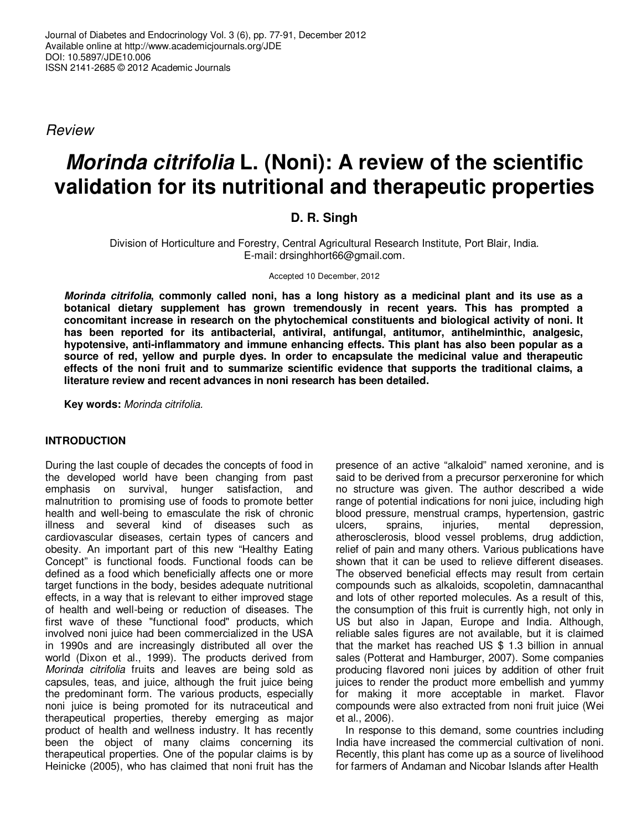*Review*

# **Morinda citrifolia L. (Noni): A review of the scientific validation for its nutritional and therapeutic properties**

# **D. R. Singh**

Division of Horticulture and Forestry, Central Agricultural Research Institute, Port Blair, India. E-mail: drsinghhort66@gmail.com.

#### Accepted 10 December, 2012

**Morinda citrifolia, commonly called noni, has a long history as a medicinal plant and its use as a botanical dietary supplement has grown tremendously in recent years. This has prompted a concomitant increase in research on the phytochemical constituents and biological activity of noni. It has been reported for its antibacterial, antiviral, antifungal, antitumor, antihelminthic, analgesic, hypotensive, anti-inflammatory and immune enhancing effects. This plant has also been popular as a source of red, yellow and purple dyes. In order to encapsulate the medicinal value and therapeutic effects of the noni fruit and to summarize scientific evidence that supports the traditional claims, a literature review and recent advances in noni research has been detailed.** 

**Key words:** *Morinda citrifolia.*

#### **INTRODUCTION**

During the last couple of decades the concepts of food in the developed world have been changing from past emphasis on survival, hunger satisfaction, and malnutrition to promising use of foods to promote better health and well-being to emasculate the risk of chronic illness and several kind of diseases such as cardiovascular diseases, certain types of cancers and obesity. An important part of this new "Healthy Eating Concept" is functional foods. Functional foods can be defined as a food which beneficially affects one or more target functions in the body, besides adequate nutritional effects, in a way that is relevant to either improved stage of health and well-being or reduction of diseases. The first wave of these "functional food" products, which involved noni juice had been commercialized in the USA in 1990s and are increasingly distributed all over the world (Dixon et al., 1999). The products derived from *Morinda citrifolia* fruits and leaves are being sold as capsules, teas, and juice, although the fruit juice being the predominant form. The various products, especially noni juice is being promoted for its nutraceutical and therapeutical properties, thereby emerging as major product of health and wellness industry. It has recently been the object of many claims concerning its therapeutical properties. One of the popular claims is by Heinicke (2005), who has claimed that noni fruit has the

presence of an active "alkaloid" named xeronine, and is said to be derived from a precursor perxeronine for which no structure was given. The author described a wide range of potential indications for noni juice, including high blood pressure, menstrual cramps, hypertension, gastric ulcers, sprains, injuries, mental depression, atherosclerosis, blood vessel problems, drug addiction, relief of pain and many others. Various publications have shown that it can be used to relieve different diseases. The observed beneficial effects may result from certain compounds such as alkaloids, scopoletin, damnacanthal and lots of other reported molecules. As a result of this, the consumption of this fruit is currently high, not only in US but also in Japan, Europe and India. Although, reliable sales figures are not available, but it is claimed that the market has reached US \$ 1.3 billion in annual sales (Potterat and Hamburger, 2007). Some companies producing flavored noni juices by addition of other fruit juices to render the product more embellish and yummy for making it more acceptable in market. Flavor compounds were also extracted from noni fruit juice (Wei et al., 2006).

In response to this demand, some countries including India have increased the commercial cultivation of noni. Recently, this plant has come up as a source of livelihood for farmers of Andaman and Nicobar Islands after Health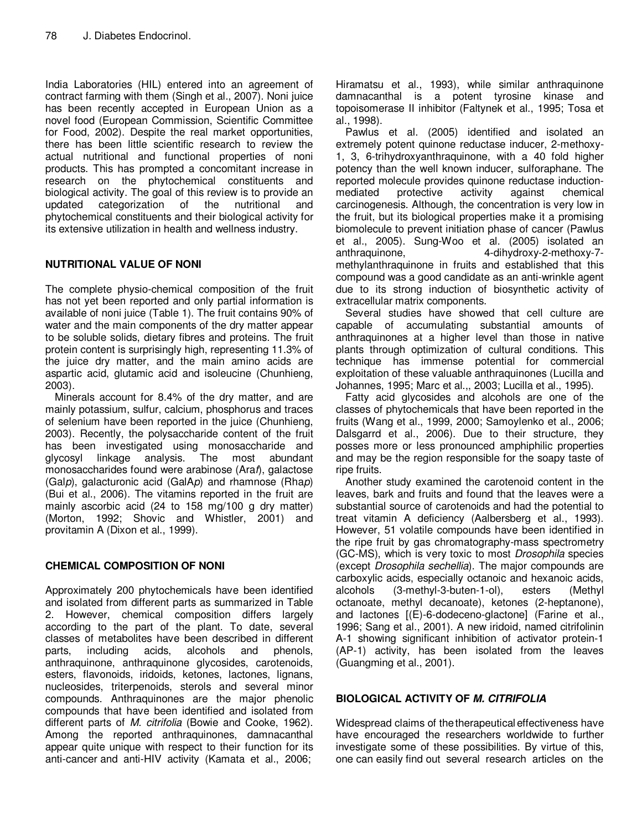India Laboratories (HIL) entered into an agreement of contract farming with them (Singh et al., 2007). Noni juice has been recently accepted in European Union as a novel food (European Commission, Scientific Committee for Food, 2002). Despite the real market opportunities, there has been little scientific research to review the actual nutritional and functional properties of noni products. This has prompted a concomitant increase in research on the phytochemical constituents and biological activity. The goal of this review is to provide an updated categorization of the nutritional and phytochemical constituents and their biological activity for its extensive utilization in health and wellness industry.

# **NUTRITIONAL VALUE OF NONI**

The complete physio-chemical composition of the fruit has not yet been reported and only partial information is available of noni juice (Table 1). The fruit contains 90% of water and the main components of the dry matter appear to be soluble solids, dietary fibres and proteins. The fruit protein content is surprisingly high, representing 11.3% of the juice dry matter, and the main amino acids are aspartic acid, glutamic acid and isoleucine (Chunhieng, 2003).

Minerals account for 8.4% of the dry matter, and are mainly potassium, sulfur, calcium, phosphorus and traces of selenium have been reported in the juice (Chunhieng, 2003). Recently, the polysaccharide content of the fruit has been investigated using monosaccharide and glycosyl linkage analysis. The most abundant monosaccharides found were arabinose (Ara*f*), galactose (Gal*p*), galacturonic acid (GalA*p*) and rhamnose (Rha*p*) (Bui et al., 2006). The vitamins reported in the fruit are mainly ascorbic acid (24 to 158 mg/100 g dry matter) (Morton, 1992; Shovic and Whistler, 2001) and provitamin A (Dixon et al., 1999).

## **CHEMICAL COMPOSITION OF NONI**

Approximately 200 phytochemicals have been identified and isolated from different parts as summarized in Table 2. However, chemical composition differs largely according to the part of the plant. To date, several classes of metabolites have been described in different parts, including acids, alcohols and phenols, anthraquinone, anthraquinone glycosides, carotenoids, esters, flavonoids, iridoids, ketones, lactones, lignans, nucleosides, triterpenoids, sterols and several minor compounds. Anthraquinones are the major phenolic compounds that have been identified and isolated from different parts of *M. citrifolia* (Bowie and Cooke, 1962). Among the reported anthraquinones, damnacanthal appear quite unique with respect to their function for its anti-cancer and anti-HIV activity (Kamata et al., 2006;

Hiramatsu et al., 1993), while similar anthraquinone damnacanthal is a potent tyrosine kinase and topoisomerase II inhibitor (Faltynek et al., 1995; Tosa et al., 1998).

Pawlus et al. (2005) identified and isolated an extremely potent quinone reductase inducer, 2-methoxy-1, 3, 6-trihydroxyanthraquinone, with a 40 fold higher potency than the well known inducer, sulforaphane. The reported molecule provides quinone reductase inductionmediated protective activity against chemical carcinogenesis. Although, the concentration is very low in the fruit, but its biological properties make it a promising biomolecule to prevent initiation phase of cancer (Pawlus et al., 2005). Sung-Woo et al. (2005) isolated an 4-dihydroxy-2-methoxy-7methylanthraquinone in fruits and established that this compound was a good candidate as an anti-wrinkle agent due to its strong induction of biosynthetic activity of extracellular matrix components.

Several studies have showed that cell culture are capable of accumulating substantial amounts of anthraquinones at a higher level than those in native plants through optimization of cultural conditions. This technique has immense potential for commercial exploitation of these valuable anthraquinones (Lucilla and Johannes, 1995; Marc et al.,, 2003; Lucilla et al., 1995).

Fatty acid glycosides and alcohols are one of the classes of phytochemicals that have been reported in the fruits (Wang et al., 1999, 2000; Samoylenko et al., 2006; Dalsgarrd et al., 2006). Due to their structure, they posses more or less pronounced amphiphilic properties and may be the region responsible for the soapy taste of ripe fruits.

Another study examined the carotenoid content in the leaves, bark and fruits and found that the leaves were a substantial source of carotenoids and had the potential to treat vitamin A deficiency (Aalbersberg et al., 1993). However, 51 volatile compounds have been identified in the ripe fruit by gas chromatography-mass spectrometry (GC-MS), which is very toxic to most *Drosophila* species (except *Drosophila sechellia*). The major compounds are carboxylic acids, especially octanoic and hexanoic acids, alcohols (3-methyl-3-buten-1-ol), esters (Methyl octanoate, methyl decanoate), ketones (2-heptanone), and lactones [(E)-6-dodeceno-glactone] (Farine et al., 1996; Sang et al., 2001). A new iridoid, named citrifolinin A-1 showing significant inhibition of activator protein-1 (AP-1) activity, has been isolated from the leaves (Guangming et al., 2001).

# **BIOLOGICAL ACTIVITY OF M. CITRIFOLIA**

Widespread claims of the therapeutical effectiveness have have encouraged the researchers worldwide to further investigate some of these possibilities. By virtue of this, one can easily find out several research articles on the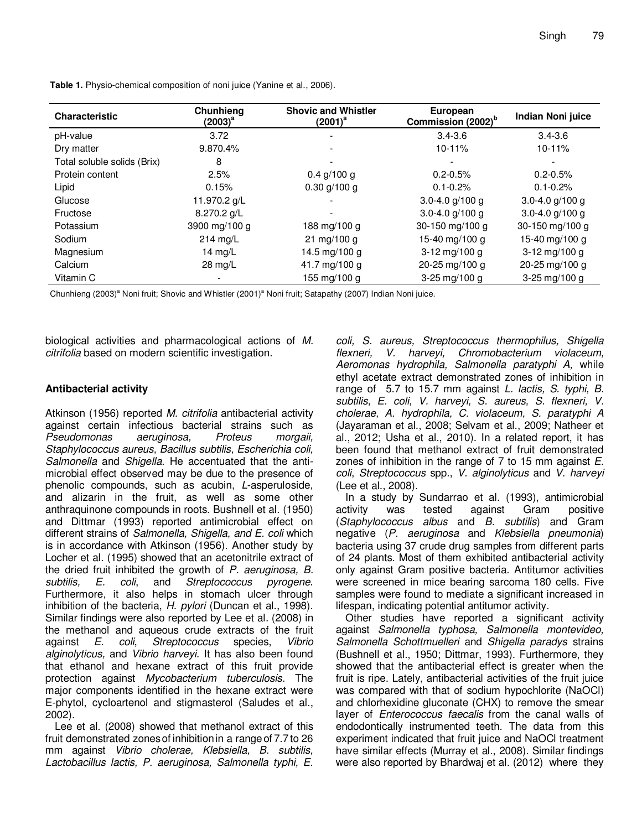| <b>Characteristic</b>       | Chunhieng<br>(2003) <sup>a</sup> | <b>Shovic and Whistler</b><br>$(2001)^a$ | European<br>Commission (2002) <sup>b</sup> | <b>Indian Noni juice</b>              |
|-----------------------------|----------------------------------|------------------------------------------|--------------------------------------------|---------------------------------------|
| pH-value                    | 3.72                             | ۰                                        | $3.4 - 3.6$                                | $3.4 - 3.6$                           |
| Dry matter                  | 9.870.4%                         |                                          | $10 - 11%$                                 | 10-11%                                |
| Total soluble solids (Brix) | 8                                |                                          |                                            |                                       |
| Protein content             | 2.5%                             | $0.4$ g/100 g                            | $0.2 - 0.5%$                               | $0.2 - 0.5%$                          |
| Lipid                       | 0.15%                            | $0.30$ g/100 g                           | $0.1 - 0.2%$                               | $0.1 - 0.2%$                          |
| Glucose                     | 11.970.2 g/L                     |                                          | $3.0 - 4.0$ g/100 g                        | $3.0 - 4.0$ g/100 g                   |
| Fructose                    | $8.270.2$ g/L                    |                                          | $3.0 - 4.0$ g/100 g                        | $3.0 - 4.0$ g/100 g                   |
| Potassium                   | 3900 mg/100 g                    | 188 mg/100 g                             | $30-150$ mg/100 g                          | $30-150$ mg/100 g                     |
| Sodium                      | $214$ mg/L                       | $21 \text{ ma}/100 \text{ g}$            | 15-40 mg/100 g                             | 15-40 mg/100 g                        |
| Magnesium                   | 14 mg/L                          | 14.5 mg/100 g                            | $3-12 \text{ ma}/100 \text{ g}$            | $3-12 \,\mathrm{mq}/100 \,\mathrm{q}$ |
| Calcium                     | $28 \text{ mg/L}$                | 41.7 mg/100 g                            | 20-25 mg/100 g                             | 20-25 mg/100 g                        |
| Vitamin C                   |                                  | 155 mg/100 g                             | $3-25$ mg/100 g                            | 3-25 mg/100 g                         |

Table 1. Physio-chemical composition of noni juice (Yanine et al., 2006).

Chunhieng (2003)<sup>a</sup> Noni fruit; Shovic and Whistler (2001)<sup>a</sup> Noni fruit; Satapathy (2007) Indian Noni juice.

biological activities and pharmacological actions of *M. citrifolia* based on modern scientific investigation.

### **Antibacterial activity**

Atkinson (1956) reported *M. citrifolia* antibacterial activity against certain infectious bacterial strains such as *Pseudomonas aeruginosa, Proteus morgaii, Staphylococcus aureus, Bacillus subtilis, Escherichia coli, Salmonella* and *Shigella*. He accentuated that the antimicrobial effect observed may be due to the presence of phenolic compounds, such as acubin, *L*-asperuloside, and alizarin in the fruit, as well as some other anthraquinone compounds in roots. Bushnell et al. (1950) and Dittmar (1993) reported antimicrobial effect on different strains of *Salmonella, Shigella, and E. coli* which is in accordance with Atkinson (1956)*.* Another study by Locher et al. (1995) showed that an acetonitrile extract of the dried fruit inhibited the growth of *P. aeruginosa, B. subtilis, E. coli*, and *Streptococcus pyrogene*. Furthermore, it also helps in stomach ulcer through inhibition of the bacteria, *H. pylori* (Duncan et al., 1998). Similar findings were also reported by Lee et al. (2008) in the methanol and aqueous crude extracts of the fruit against *E. coli*, *Streptococcus* species, *Vibrio alginolyticus,* and *Vibrio harveyi*. It has also been found that ethanol and hexane extract of this fruit provide protection against *Mycobacterium tuberculosis*. The major components identified in the hexane extract were E-phytol, cycloartenol and stigmasterol (Saludes et al., 2002).

Lee et al. (2008) showed that methanol extract of this fruit demonstrated zonesof inhibitionin a rangeof 7.7to 26 mm against *Vibrio cholerae, Klebsiella, B. subtilis, Lactobacillus lactis, P. aeruginosa, Salmonella typhi, E.*  *coli, S. aureus, Streptococcus thermophilus, Shigella flexneri, V. harveyi, Chromobacterium violaceum, Aeromonas hydrophila, Salmonella paratyphi A,* while ethyl acetate extract demonstrated zones of inhibition in range of 5.7 to 15.7 mm against *L. lactis, S. typhi, B. subtilis, E. coli, V. harveyi, S. aureus, S. flexneri, V. cholerae, A. hydrophila, C. violaceum, S. paratyphi A* (Jayaraman et al., 2008; Selvam et al., 2009; Natheer et al., 2012; Usha et al., 2010). In a related report, it has been found that methanol extract of fruit demonstrated zones of inhibition in the range of 7 to 15 mm against *E. coli*, *Streptococcus* spp., *V. alginolyticus* and *V. harveyi*  (Lee et al., 2008).

In a study by Sundarrao et al. (1993), antimicrobial activity was tested against Gram positive (*Staphylococcus albus* and *B. subtilis*) and Gram negative (*P. aeruginosa* and *Klebsiella pneumonia*) bacteria using 37 crude drug samples from different parts of 24 plants. Most of them exhibited antibacterial activity only against Gram positive bacteria. Antitumor activities were screened in mice bearing sarcoma 180 cells. Five samples were found to mediate a significant increased in lifespan, indicating potential antitumor activity.

Other studies have reported a significant activity against *Salmonella typhosa, Salmonella montevideo, Salmonella Schottmuelleri* and *Shigella paradys* strains (Bushnell et al., 1950; Dittmar, 1993). Furthermore, they showed that the antibacterial effect is greater when the fruit is ripe. Lately, antibacterial activities of the fruit juice was compared with that of sodium hypochlorite (NaOCl) and chlorhexidine gluconate (CHX) to remove the smear layer of *Enterococcus faecalis* from the canal walls of endodontically instrumented teeth. The data from this experiment indicated that fruit juice and NaOCl treatment have similar effects (Murray et al., 2008). Similar findings were also reported by Bhardwaj et al. (2012) where they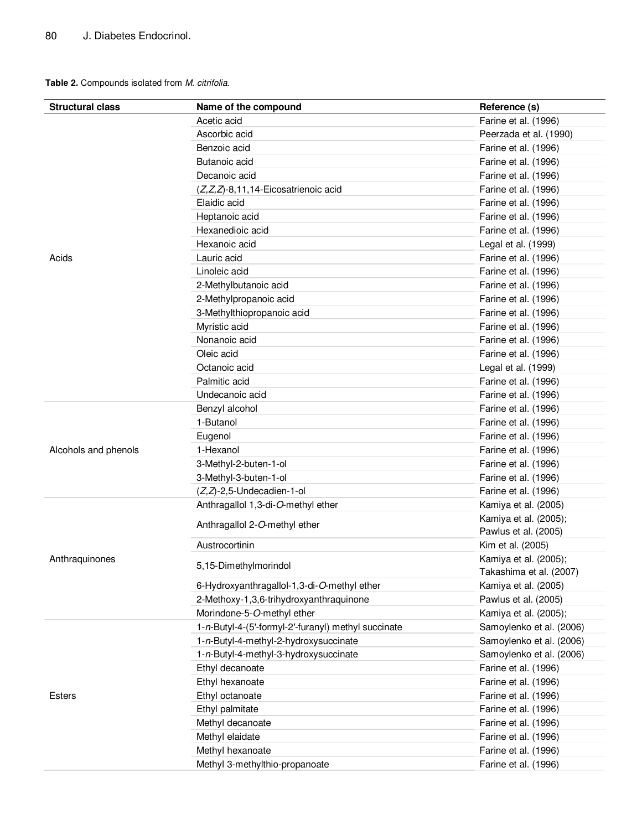#### **Table 2.** Compounds isolated from *M. citrifolia*.

| Acetic acid<br>Farine et al. (1996)<br>Ascorbic acid<br>Peerzada et al. (1990)<br>Benzoic acid<br>Farine et al. (1996)<br>Butanoic acid<br>Farine et al. (1996)<br>Decanoic acid<br>Farine et al. (1996)<br>(Z,Z,Z)-8,11,14-Eicosatrienoic acid<br>Farine et al. (1996)<br>Elaidic acid<br>Farine et al. (1996)<br>Heptanoic acid<br>Farine et al. (1996)<br>Hexanedioic acid<br>Farine et al. (1996)<br>Hexanoic acid<br>Legal et al. (1999)<br>Lauric acid<br>Farine et al. (1996)<br>Acids<br>Linoleic acid<br>Farine et al. (1996)<br>Farine et al. (1996)<br>2-Methylbutanoic acid<br>2-Methylpropanoic acid<br>Farine et al. (1996)<br>3-Methylthiopropanoic acid<br>Farine et al. (1996)<br>Myristic acid<br>Farine et al. (1996)<br>Nonanoic acid<br>Farine et al. (1996)<br>Oleic acid<br>Farine et al. (1996)<br>Octanoic acid<br>Legal et al. (1999)<br>Palmitic acid<br>Farine et al. (1996)<br>Undecanoic acid<br>Farine et al. (1996)<br>Benzyl alcohol<br>Farine et al. (1996)<br>1-Butanol<br>Farine et al. (1996)<br>Farine et al. (1996)<br>Eugenol<br>1-Hexanol<br>Farine et al. (1996)<br>Alcohols and phenols<br>3-Methyl-2-buten-1-ol<br>Farine et al. (1996)<br>3-Methyl-3-buten-1-ol<br>Farine et al. (1996)<br>$(Z, Z)$ -2,5-Undecadien-1-ol<br>Farine et al. (1996)<br>Anthragallol 1,3-di-O-methyl ether<br>Kamiya et al. (2005)<br>Kamiya et al. (2005);<br>Anthragallol 2-O-methyl ether<br>Pawlus et al. (2005)<br>Kim et al. (2005)<br>Austrocortinin<br>Anthraquinones<br>Kamiya et al. (2005);<br>5,15-Dimethylmorindol<br>Takashima et al. (2007)<br>6-Hydroxyanthragallol-1,3-di-O-methyl ether<br>Kamiya et al. (2005)<br>Pawlus et al. (2005)<br>2-Methoxy-1,3,6-trihydroxyanthraquinone<br>Morindone-5-O-methyl ether<br>Kamiya et al. (2005);<br>1-n-Butyl-4-(5'-formyl-2'-furanyl) methyl succinate<br>Samoylenko et al. (2006)<br>1-n-Butyl-4-methyl-2-hydroxysuccinate<br>Samoylenko et al. (2006)<br>1-n-Butyl-4-methyl-3-hydroxysuccinate<br>Samoylenko et al. (2006)<br>Farine et al. (1996)<br>Ethyl decanoate<br>Ethyl hexanoate<br>Farine et al. (1996)<br>Farine et al. (1996)<br><b>Esters</b><br>Ethyl octanoate<br>Ethyl palmitate<br>Farine et al. (1996)<br>Methyl decanoate<br>Farine et al. (1996)<br>Farine et al. (1996)<br>Methyl elaidate<br>Methyl hexanoate<br>Farine et al. (1996) | <b>Structural class</b> | Name of the compound           | Reference (s)        |
|---------------------------------------------------------------------------------------------------------------------------------------------------------------------------------------------------------------------------------------------------------------------------------------------------------------------------------------------------------------------------------------------------------------------------------------------------------------------------------------------------------------------------------------------------------------------------------------------------------------------------------------------------------------------------------------------------------------------------------------------------------------------------------------------------------------------------------------------------------------------------------------------------------------------------------------------------------------------------------------------------------------------------------------------------------------------------------------------------------------------------------------------------------------------------------------------------------------------------------------------------------------------------------------------------------------------------------------------------------------------------------------------------------------------------------------------------------------------------------------------------------------------------------------------------------------------------------------------------------------------------------------------------------------------------------------------------------------------------------------------------------------------------------------------------------------------------------------------------------------------------------------------------------------------------------------------------------------------------------------------------------------------------------------------------------------------------------------------------------------------------------------------------------------------------------------------------------------------------------------------------------------------------------------------------------------------------------------------------|-------------------------|--------------------------------|----------------------|
|                                                                                                                                                                                                                                                                                                                                                                                                                                                                                                                                                                                                                                                                                                                                                                                                                                                                                                                                                                                                                                                                                                                                                                                                                                                                                                                                                                                                                                                                                                                                                                                                                                                                                                                                                                                                                                                                                                                                                                                                                                                                                                                                                                                                                                                                                                                                                   |                         |                                |                      |
|                                                                                                                                                                                                                                                                                                                                                                                                                                                                                                                                                                                                                                                                                                                                                                                                                                                                                                                                                                                                                                                                                                                                                                                                                                                                                                                                                                                                                                                                                                                                                                                                                                                                                                                                                                                                                                                                                                                                                                                                                                                                                                                                                                                                                                                                                                                                                   |                         |                                |                      |
|                                                                                                                                                                                                                                                                                                                                                                                                                                                                                                                                                                                                                                                                                                                                                                                                                                                                                                                                                                                                                                                                                                                                                                                                                                                                                                                                                                                                                                                                                                                                                                                                                                                                                                                                                                                                                                                                                                                                                                                                                                                                                                                                                                                                                                                                                                                                                   |                         |                                |                      |
|                                                                                                                                                                                                                                                                                                                                                                                                                                                                                                                                                                                                                                                                                                                                                                                                                                                                                                                                                                                                                                                                                                                                                                                                                                                                                                                                                                                                                                                                                                                                                                                                                                                                                                                                                                                                                                                                                                                                                                                                                                                                                                                                                                                                                                                                                                                                                   |                         |                                |                      |
|                                                                                                                                                                                                                                                                                                                                                                                                                                                                                                                                                                                                                                                                                                                                                                                                                                                                                                                                                                                                                                                                                                                                                                                                                                                                                                                                                                                                                                                                                                                                                                                                                                                                                                                                                                                                                                                                                                                                                                                                                                                                                                                                                                                                                                                                                                                                                   |                         |                                |                      |
|                                                                                                                                                                                                                                                                                                                                                                                                                                                                                                                                                                                                                                                                                                                                                                                                                                                                                                                                                                                                                                                                                                                                                                                                                                                                                                                                                                                                                                                                                                                                                                                                                                                                                                                                                                                                                                                                                                                                                                                                                                                                                                                                                                                                                                                                                                                                                   |                         |                                |                      |
|                                                                                                                                                                                                                                                                                                                                                                                                                                                                                                                                                                                                                                                                                                                                                                                                                                                                                                                                                                                                                                                                                                                                                                                                                                                                                                                                                                                                                                                                                                                                                                                                                                                                                                                                                                                                                                                                                                                                                                                                                                                                                                                                                                                                                                                                                                                                                   |                         |                                |                      |
|                                                                                                                                                                                                                                                                                                                                                                                                                                                                                                                                                                                                                                                                                                                                                                                                                                                                                                                                                                                                                                                                                                                                                                                                                                                                                                                                                                                                                                                                                                                                                                                                                                                                                                                                                                                                                                                                                                                                                                                                                                                                                                                                                                                                                                                                                                                                                   |                         |                                |                      |
|                                                                                                                                                                                                                                                                                                                                                                                                                                                                                                                                                                                                                                                                                                                                                                                                                                                                                                                                                                                                                                                                                                                                                                                                                                                                                                                                                                                                                                                                                                                                                                                                                                                                                                                                                                                                                                                                                                                                                                                                                                                                                                                                                                                                                                                                                                                                                   |                         |                                |                      |
|                                                                                                                                                                                                                                                                                                                                                                                                                                                                                                                                                                                                                                                                                                                                                                                                                                                                                                                                                                                                                                                                                                                                                                                                                                                                                                                                                                                                                                                                                                                                                                                                                                                                                                                                                                                                                                                                                                                                                                                                                                                                                                                                                                                                                                                                                                                                                   |                         |                                |                      |
|                                                                                                                                                                                                                                                                                                                                                                                                                                                                                                                                                                                                                                                                                                                                                                                                                                                                                                                                                                                                                                                                                                                                                                                                                                                                                                                                                                                                                                                                                                                                                                                                                                                                                                                                                                                                                                                                                                                                                                                                                                                                                                                                                                                                                                                                                                                                                   |                         |                                |                      |
|                                                                                                                                                                                                                                                                                                                                                                                                                                                                                                                                                                                                                                                                                                                                                                                                                                                                                                                                                                                                                                                                                                                                                                                                                                                                                                                                                                                                                                                                                                                                                                                                                                                                                                                                                                                                                                                                                                                                                                                                                                                                                                                                                                                                                                                                                                                                                   |                         |                                |                      |
|                                                                                                                                                                                                                                                                                                                                                                                                                                                                                                                                                                                                                                                                                                                                                                                                                                                                                                                                                                                                                                                                                                                                                                                                                                                                                                                                                                                                                                                                                                                                                                                                                                                                                                                                                                                                                                                                                                                                                                                                                                                                                                                                                                                                                                                                                                                                                   |                         |                                |                      |
|                                                                                                                                                                                                                                                                                                                                                                                                                                                                                                                                                                                                                                                                                                                                                                                                                                                                                                                                                                                                                                                                                                                                                                                                                                                                                                                                                                                                                                                                                                                                                                                                                                                                                                                                                                                                                                                                                                                                                                                                                                                                                                                                                                                                                                                                                                                                                   |                         |                                |                      |
|                                                                                                                                                                                                                                                                                                                                                                                                                                                                                                                                                                                                                                                                                                                                                                                                                                                                                                                                                                                                                                                                                                                                                                                                                                                                                                                                                                                                                                                                                                                                                                                                                                                                                                                                                                                                                                                                                                                                                                                                                                                                                                                                                                                                                                                                                                                                                   |                         |                                |                      |
|                                                                                                                                                                                                                                                                                                                                                                                                                                                                                                                                                                                                                                                                                                                                                                                                                                                                                                                                                                                                                                                                                                                                                                                                                                                                                                                                                                                                                                                                                                                                                                                                                                                                                                                                                                                                                                                                                                                                                                                                                                                                                                                                                                                                                                                                                                                                                   |                         |                                |                      |
|                                                                                                                                                                                                                                                                                                                                                                                                                                                                                                                                                                                                                                                                                                                                                                                                                                                                                                                                                                                                                                                                                                                                                                                                                                                                                                                                                                                                                                                                                                                                                                                                                                                                                                                                                                                                                                                                                                                                                                                                                                                                                                                                                                                                                                                                                                                                                   |                         |                                |                      |
|                                                                                                                                                                                                                                                                                                                                                                                                                                                                                                                                                                                                                                                                                                                                                                                                                                                                                                                                                                                                                                                                                                                                                                                                                                                                                                                                                                                                                                                                                                                                                                                                                                                                                                                                                                                                                                                                                                                                                                                                                                                                                                                                                                                                                                                                                                                                                   |                         |                                |                      |
|                                                                                                                                                                                                                                                                                                                                                                                                                                                                                                                                                                                                                                                                                                                                                                                                                                                                                                                                                                                                                                                                                                                                                                                                                                                                                                                                                                                                                                                                                                                                                                                                                                                                                                                                                                                                                                                                                                                                                                                                                                                                                                                                                                                                                                                                                                                                                   |                         |                                |                      |
|                                                                                                                                                                                                                                                                                                                                                                                                                                                                                                                                                                                                                                                                                                                                                                                                                                                                                                                                                                                                                                                                                                                                                                                                                                                                                                                                                                                                                                                                                                                                                                                                                                                                                                                                                                                                                                                                                                                                                                                                                                                                                                                                                                                                                                                                                                                                                   |                         |                                |                      |
|                                                                                                                                                                                                                                                                                                                                                                                                                                                                                                                                                                                                                                                                                                                                                                                                                                                                                                                                                                                                                                                                                                                                                                                                                                                                                                                                                                                                                                                                                                                                                                                                                                                                                                                                                                                                                                                                                                                                                                                                                                                                                                                                                                                                                                                                                                                                                   |                         |                                |                      |
|                                                                                                                                                                                                                                                                                                                                                                                                                                                                                                                                                                                                                                                                                                                                                                                                                                                                                                                                                                                                                                                                                                                                                                                                                                                                                                                                                                                                                                                                                                                                                                                                                                                                                                                                                                                                                                                                                                                                                                                                                                                                                                                                                                                                                                                                                                                                                   |                         |                                |                      |
|                                                                                                                                                                                                                                                                                                                                                                                                                                                                                                                                                                                                                                                                                                                                                                                                                                                                                                                                                                                                                                                                                                                                                                                                                                                                                                                                                                                                                                                                                                                                                                                                                                                                                                                                                                                                                                                                                                                                                                                                                                                                                                                                                                                                                                                                                                                                                   |                         |                                |                      |
|                                                                                                                                                                                                                                                                                                                                                                                                                                                                                                                                                                                                                                                                                                                                                                                                                                                                                                                                                                                                                                                                                                                                                                                                                                                                                                                                                                                                                                                                                                                                                                                                                                                                                                                                                                                                                                                                                                                                                                                                                                                                                                                                                                                                                                                                                                                                                   |                         |                                |                      |
|                                                                                                                                                                                                                                                                                                                                                                                                                                                                                                                                                                                                                                                                                                                                                                                                                                                                                                                                                                                                                                                                                                                                                                                                                                                                                                                                                                                                                                                                                                                                                                                                                                                                                                                                                                                                                                                                                                                                                                                                                                                                                                                                                                                                                                                                                                                                                   |                         |                                |                      |
|                                                                                                                                                                                                                                                                                                                                                                                                                                                                                                                                                                                                                                                                                                                                                                                                                                                                                                                                                                                                                                                                                                                                                                                                                                                                                                                                                                                                                                                                                                                                                                                                                                                                                                                                                                                                                                                                                                                                                                                                                                                                                                                                                                                                                                                                                                                                                   |                         |                                |                      |
|                                                                                                                                                                                                                                                                                                                                                                                                                                                                                                                                                                                                                                                                                                                                                                                                                                                                                                                                                                                                                                                                                                                                                                                                                                                                                                                                                                                                                                                                                                                                                                                                                                                                                                                                                                                                                                                                                                                                                                                                                                                                                                                                                                                                                                                                                                                                                   |                         |                                |                      |
|                                                                                                                                                                                                                                                                                                                                                                                                                                                                                                                                                                                                                                                                                                                                                                                                                                                                                                                                                                                                                                                                                                                                                                                                                                                                                                                                                                                                                                                                                                                                                                                                                                                                                                                                                                                                                                                                                                                                                                                                                                                                                                                                                                                                                                                                                                                                                   |                         |                                |                      |
|                                                                                                                                                                                                                                                                                                                                                                                                                                                                                                                                                                                                                                                                                                                                                                                                                                                                                                                                                                                                                                                                                                                                                                                                                                                                                                                                                                                                                                                                                                                                                                                                                                                                                                                                                                                                                                                                                                                                                                                                                                                                                                                                                                                                                                                                                                                                                   |                         |                                |                      |
|                                                                                                                                                                                                                                                                                                                                                                                                                                                                                                                                                                                                                                                                                                                                                                                                                                                                                                                                                                                                                                                                                                                                                                                                                                                                                                                                                                                                                                                                                                                                                                                                                                                                                                                                                                                                                                                                                                                                                                                                                                                                                                                                                                                                                                                                                                                                                   |                         |                                |                      |
|                                                                                                                                                                                                                                                                                                                                                                                                                                                                                                                                                                                                                                                                                                                                                                                                                                                                                                                                                                                                                                                                                                                                                                                                                                                                                                                                                                                                                                                                                                                                                                                                                                                                                                                                                                                                                                                                                                                                                                                                                                                                                                                                                                                                                                                                                                                                                   |                         |                                |                      |
|                                                                                                                                                                                                                                                                                                                                                                                                                                                                                                                                                                                                                                                                                                                                                                                                                                                                                                                                                                                                                                                                                                                                                                                                                                                                                                                                                                                                                                                                                                                                                                                                                                                                                                                                                                                                                                                                                                                                                                                                                                                                                                                                                                                                                                                                                                                                                   |                         |                                |                      |
|                                                                                                                                                                                                                                                                                                                                                                                                                                                                                                                                                                                                                                                                                                                                                                                                                                                                                                                                                                                                                                                                                                                                                                                                                                                                                                                                                                                                                                                                                                                                                                                                                                                                                                                                                                                                                                                                                                                                                                                                                                                                                                                                                                                                                                                                                                                                                   |                         |                                |                      |
|                                                                                                                                                                                                                                                                                                                                                                                                                                                                                                                                                                                                                                                                                                                                                                                                                                                                                                                                                                                                                                                                                                                                                                                                                                                                                                                                                                                                                                                                                                                                                                                                                                                                                                                                                                                                                                                                                                                                                                                                                                                                                                                                                                                                                                                                                                                                                   |                         |                                |                      |
|                                                                                                                                                                                                                                                                                                                                                                                                                                                                                                                                                                                                                                                                                                                                                                                                                                                                                                                                                                                                                                                                                                                                                                                                                                                                                                                                                                                                                                                                                                                                                                                                                                                                                                                                                                                                                                                                                                                                                                                                                                                                                                                                                                                                                                                                                                                                                   |                         |                                |                      |
|                                                                                                                                                                                                                                                                                                                                                                                                                                                                                                                                                                                                                                                                                                                                                                                                                                                                                                                                                                                                                                                                                                                                                                                                                                                                                                                                                                                                                                                                                                                                                                                                                                                                                                                                                                                                                                                                                                                                                                                                                                                                                                                                                                                                                                                                                                                                                   |                         |                                |                      |
|                                                                                                                                                                                                                                                                                                                                                                                                                                                                                                                                                                                                                                                                                                                                                                                                                                                                                                                                                                                                                                                                                                                                                                                                                                                                                                                                                                                                                                                                                                                                                                                                                                                                                                                                                                                                                                                                                                                                                                                                                                                                                                                                                                                                                                                                                                                                                   |                         |                                |                      |
|                                                                                                                                                                                                                                                                                                                                                                                                                                                                                                                                                                                                                                                                                                                                                                                                                                                                                                                                                                                                                                                                                                                                                                                                                                                                                                                                                                                                                                                                                                                                                                                                                                                                                                                                                                                                                                                                                                                                                                                                                                                                                                                                                                                                                                                                                                                                                   |                         |                                |                      |
|                                                                                                                                                                                                                                                                                                                                                                                                                                                                                                                                                                                                                                                                                                                                                                                                                                                                                                                                                                                                                                                                                                                                                                                                                                                                                                                                                                                                                                                                                                                                                                                                                                                                                                                                                                                                                                                                                                                                                                                                                                                                                                                                                                                                                                                                                                                                                   |                         |                                |                      |
|                                                                                                                                                                                                                                                                                                                                                                                                                                                                                                                                                                                                                                                                                                                                                                                                                                                                                                                                                                                                                                                                                                                                                                                                                                                                                                                                                                                                                                                                                                                                                                                                                                                                                                                                                                                                                                                                                                                                                                                                                                                                                                                                                                                                                                                                                                                                                   |                         |                                |                      |
|                                                                                                                                                                                                                                                                                                                                                                                                                                                                                                                                                                                                                                                                                                                                                                                                                                                                                                                                                                                                                                                                                                                                                                                                                                                                                                                                                                                                                                                                                                                                                                                                                                                                                                                                                                                                                                                                                                                                                                                                                                                                                                                                                                                                                                                                                                                                                   |                         |                                |                      |
|                                                                                                                                                                                                                                                                                                                                                                                                                                                                                                                                                                                                                                                                                                                                                                                                                                                                                                                                                                                                                                                                                                                                                                                                                                                                                                                                                                                                                                                                                                                                                                                                                                                                                                                                                                                                                                                                                                                                                                                                                                                                                                                                                                                                                                                                                                                                                   |                         |                                |                      |
|                                                                                                                                                                                                                                                                                                                                                                                                                                                                                                                                                                                                                                                                                                                                                                                                                                                                                                                                                                                                                                                                                                                                                                                                                                                                                                                                                                                                                                                                                                                                                                                                                                                                                                                                                                                                                                                                                                                                                                                                                                                                                                                                                                                                                                                                                                                                                   |                         |                                |                      |
|                                                                                                                                                                                                                                                                                                                                                                                                                                                                                                                                                                                                                                                                                                                                                                                                                                                                                                                                                                                                                                                                                                                                                                                                                                                                                                                                                                                                                                                                                                                                                                                                                                                                                                                                                                                                                                                                                                                                                                                                                                                                                                                                                                                                                                                                                                                                                   |                         |                                |                      |
|                                                                                                                                                                                                                                                                                                                                                                                                                                                                                                                                                                                                                                                                                                                                                                                                                                                                                                                                                                                                                                                                                                                                                                                                                                                                                                                                                                                                                                                                                                                                                                                                                                                                                                                                                                                                                                                                                                                                                                                                                                                                                                                                                                                                                                                                                                                                                   |                         |                                |                      |
|                                                                                                                                                                                                                                                                                                                                                                                                                                                                                                                                                                                                                                                                                                                                                                                                                                                                                                                                                                                                                                                                                                                                                                                                                                                                                                                                                                                                                                                                                                                                                                                                                                                                                                                                                                                                                                                                                                                                                                                                                                                                                                                                                                                                                                                                                                                                                   |                         | Methyl 3-methylthio-propanoate | Farine et al. (1996) |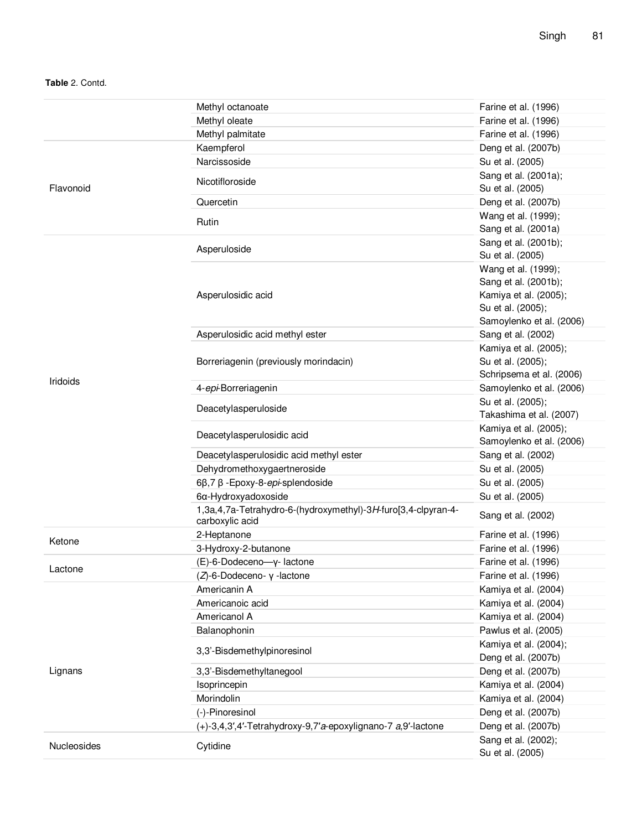|             | Methyl octanoate                                                                 | Farine et al. (1996)                                                                                                  |
|-------------|----------------------------------------------------------------------------------|-----------------------------------------------------------------------------------------------------------------------|
|             | Methyl oleate                                                                    | Farine et al. (1996)                                                                                                  |
|             | Methyl palmitate                                                                 | Farine et al. (1996)                                                                                                  |
|             | Kaempferol                                                                       | Deng et al. (2007b)                                                                                                   |
|             | Narcissoside                                                                     | Su et al. (2005)                                                                                                      |
|             |                                                                                  | Sang et al. (2001a);                                                                                                  |
| Flavonoid   | Nicotifloroside                                                                  | Su et al. (2005)                                                                                                      |
|             | Quercetin                                                                        | Deng et al. (2007b)                                                                                                   |
|             | Rutin                                                                            | Wang et al. (1999);                                                                                                   |
|             |                                                                                  | Sang et al. (2001a)                                                                                                   |
|             | Asperuloside                                                                     | Sang et al. (2001b);                                                                                                  |
|             |                                                                                  | Su et al. (2005)                                                                                                      |
|             | Asperulosidic acid                                                               | Wang et al. (1999);<br>Sang et al. (2001b);<br>Kamiya et al. (2005);<br>Su et al. (2005);<br>Samoylenko et al. (2006) |
|             | Asperulosidic acid methyl ester                                                  | Sang et al. (2002)                                                                                                    |
|             | Borreriagenin (previously morindacin)                                            | Kamiya et al. (2005);<br>Su et al. (2005);<br>Schripsema et al. (2006)                                                |
| Iridoids    | 4-epi-Borreriagenin                                                              | Samoylenko et al. (2006)                                                                                              |
|             |                                                                                  | Su et al. (2005);                                                                                                     |
|             | Deacetylasperuloside                                                             | Takashima et al. (2007)                                                                                               |
|             | Deacetylasperulosidic acid                                                       | Kamiya et al. (2005);<br>Samoylenko et al. (2006)                                                                     |
|             | Deacetylasperulosidic acid methyl ester                                          | Sang et al. (2002)                                                                                                    |
|             | Dehydromethoxygaertneroside                                                      | Su et al. (2005)                                                                                                      |
|             | 6β,7 β - Epoxy-8-epi-splendoside                                                 | Su et al. (2005)                                                                                                      |
|             | 6a-Hydroxyadoxoside                                                              | Su et al. (2005)                                                                                                      |
|             | 1,3a,4,7a-Tetrahydro-6-(hydroxymethyl)-3H-furo[3,4-clpyran-4-<br>carboxylic acid | Sang et al. (2002)                                                                                                    |
| Ketone      | 2-Heptanone                                                                      | Farine et al. (1996)                                                                                                  |
|             | 3-Hydroxy-2-butanone                                                             | Farine et al. (1996)                                                                                                  |
| Lactone     | (E)-6-Dodeceno-γ- lactone                                                        | Farine et al. (1996)                                                                                                  |
|             | (Z)-6-Dodeceno- γ-lactone                                                        | Farine et al. (1996)                                                                                                  |
|             | Americanin A                                                                     | Kamiya et al. (2004)                                                                                                  |
| Lignans     | Americanoic acid                                                                 | Kamiya et al. (2004)                                                                                                  |
|             | Americanol A                                                                     | Kamiya et al. (2004)                                                                                                  |
|             | Balanophonin                                                                     | Pawlus et al. (2005)                                                                                                  |
|             | 3,3'-Bisdemethylpinoresinol                                                      | Kamiya et al. (2004);<br>Deng et al. (2007b)                                                                          |
|             | 3,3'-Bisdemethyltanegool                                                         | Deng et al. (2007b)                                                                                                   |
|             | Isoprincepin                                                                     | Kamiya et al. (2004)                                                                                                  |
|             | Morindolin                                                                       | Kamiya et al. (2004)                                                                                                  |
|             | (-)-Pinoresinol                                                                  | Deng et al. (2007b)                                                                                                   |
|             | (+)-3,4,3',4'-Tetrahydroxy-9,7'a-epoxylignano-7 a,9'-lactone                     | Deng et al. (2007b)                                                                                                   |
|             |                                                                                  | Sang et al. (2002);                                                                                                   |
| Nucleosides | Cytidine                                                                         | Su et al. (2005)                                                                                                      |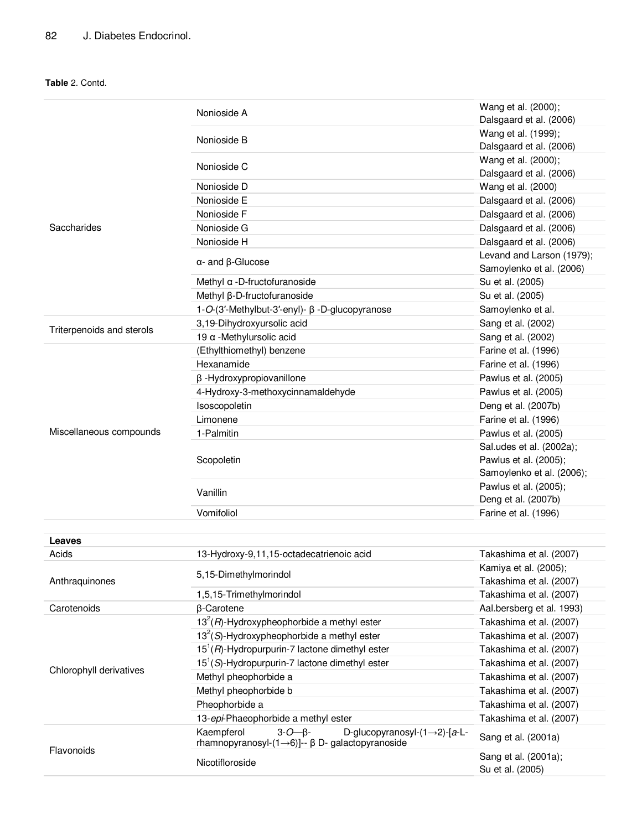Flavonoids

|                           |                                                  | Wang et al. (2000);                                   |
|---------------------------|--------------------------------------------------|-------------------------------------------------------|
|                           | Nonioside A                                      | Dalsgaard et al. (2006)                               |
|                           | Nonioside B                                      | Wang et al. (1999);                                   |
|                           |                                                  | Dalsgaard et al. (2006)                               |
|                           | Nonioside C                                      | Wang et al. (2000);                                   |
|                           |                                                  | Dalsgaard et al. (2006)                               |
|                           | Nonioside D                                      | Wang et al. (2000)                                    |
|                           | Nonioside E                                      | Dalsgaard et al. (2006)                               |
|                           | Nonioside F                                      | Dalsgaard et al. (2006)                               |
| Saccharides               | Nonioside G                                      | Dalsgaard et al. (2006)                               |
|                           | Nonioside H                                      | Dalsgaard et al. (2006)                               |
|                           | $\alpha$ - and $\beta$ -Glucose                  | Levand and Larson (1979);<br>Samoylenko et al. (2006) |
|                           | Methyl $\alpha$ -D-fructofuranoside              | Su et al. (2005)                                      |
|                           |                                                  |                                                       |
|                           | Methyl β-D-fructofuranoside                      | Su et al. (2005)                                      |
|                           | 1-O-(3'-Methylbut-3'-enyl)- β -D-glucopyranose   | Samoylenko et al.                                     |
| Triterpenoids and sterols | 3,19-Dihydroxyursolic acid                       | Sang et al. (2002)                                    |
|                           | 19 $\alpha$ -Methylursolic acid                  | Sang et al. (2002)                                    |
|                           | (Ethylthiomethyl) benzene                        | Farine et al. (1996)                                  |
|                           | Hexanamide                                       | Farine et al. (1996)                                  |
|                           | $\beta$ -Hydroxypropiovanillone                  | Pawlus et al. (2005)                                  |
|                           | 4-Hydroxy-3-methoxycinnamaldehyde                | Pawlus et al. (2005)                                  |
|                           | Isoscopoletin                                    | Deng et al. (2007b)                                   |
|                           | Limonene                                         | Farine et al. (1996)                                  |
| Miscellaneous compounds   | 1-Palmitin                                       | Pawlus et al. (2005)                                  |
|                           |                                                  | Sal.udes et al. (2002a);                              |
|                           | Scopoletin                                       | Pawlus et al. (2005);                                 |
|                           |                                                  | Samoylenko et al. (2006);                             |
|                           | Vanillin                                         | Pawlus et al. (2005);                                 |
|                           |                                                  | Deng et al. (2007b)                                   |
|                           | Vomifoliol                                       | Farine et al. (1996)                                  |
|                           |                                                  |                                                       |
| Leaves                    |                                                  |                                                       |
| Acids                     | 13-Hydroxy-9,11,15-octadecatrienoic acid         | Takashima et al. (2007)                               |
| Anthraquinones            | 5,15-Dimethylmorindol                            | Kamiya et al. (2005);                                 |
|                           |                                                  | Takashima et al. (2007)                               |
|                           | 1,5,15-Trimethylmorindol                         | Takashima et al. (2007)                               |
| Carotenoids               | $\beta$ -Carotene                                | Aal.bersberg et al. 1993)                             |
|                           | $13^2$ (R)-Hydroxypheophorbide a methyl ester    | Takashima et al. (2007)                               |
|                           | $13^2$ (S)-Hydroxypheophorbide a methyl ester    | Takashima et al. (2007)                               |
|                           | $151(R)$ -Hydropurpurin-7 lactone dimethyl ester | Takashima et al. (2007)                               |
| Chlorophyll derivatives   | $151(S)$ -Hydropurpurin-7 lactone dimethyl ester | Takashima et al. (2007)                               |
|                           | Methyl pheophorbide a                            | Takashima et al. (2007)                               |
|                           | Methyl pheophorbide b                            | Takashima et al. (2007)                               |

Pheophorbide a Takashima et al. (2007) 13-*epi*-Phaeophorbide a methyl ester Takashima et al. (2007)

Su et al. (2005)

rhamnopyranosyl-(1→6)]-- β D- galactopyranosyl-(1→2)-[a-L-<br>sang et al. (2001a)<br>Sang et al. (2001a) Nicotifloroside Sang et al. (2001a);

Kaempferol 3-*O*—β- D-glucopyranosyl-(1→2)-[*a*-L-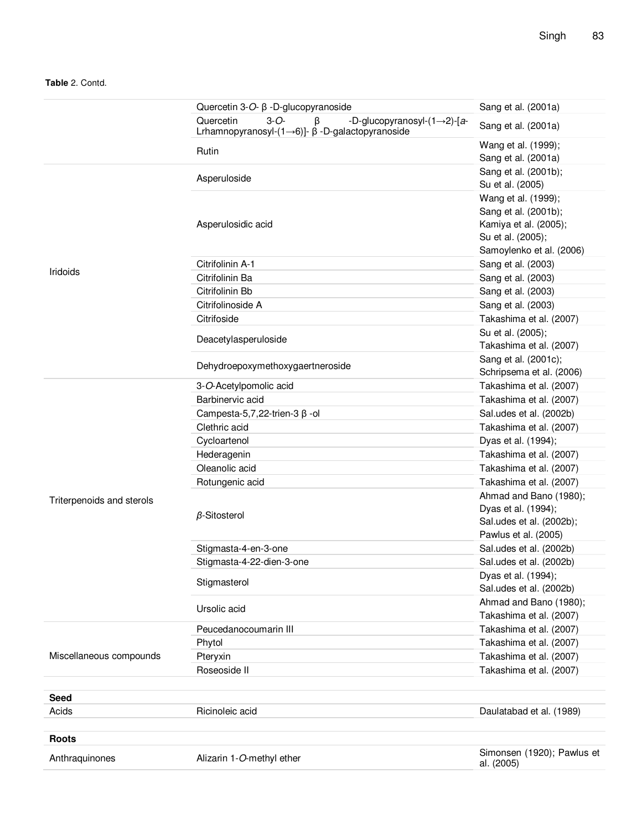|                           | Quercetin 3-O- $\beta$ -D-glucopyranoside                                                                                                         | Sang et al. (2001a)                                                                                                   |
|---------------------------|---------------------------------------------------------------------------------------------------------------------------------------------------|-----------------------------------------------------------------------------------------------------------------------|
|                           | Quercetin<br>$3 - O -$<br>-D-glucopyranosyl- $(1\rightarrow 2)$ -[a-<br>β<br>Lrhamnopyranosyl- $(1\rightarrow 6)$ ]- $\beta$ -D-galactopyranoside | Sang et al. (2001a)                                                                                                   |
|                           | Rutin                                                                                                                                             | Wang et al. (1999);<br>Sang et al. (2001a)                                                                            |
|                           | Asperuloside                                                                                                                                      | Sang et al. (2001b);<br>Su et al. (2005)                                                                              |
|                           | Asperulosidic acid                                                                                                                                | Wang et al. (1999);<br>Sang et al. (2001b);<br>Kamiya et al. (2005);<br>Su et al. (2005);<br>Samoylenko et al. (2006) |
|                           | Citrifolinin A-1                                                                                                                                  | Sang et al. (2003)                                                                                                    |
| Iridoids                  | Citrifolinin Ba                                                                                                                                   | Sang et al. (2003)                                                                                                    |
|                           | Citrifolinin Bb                                                                                                                                   | Sang et al. (2003)                                                                                                    |
|                           | Citrifolinoside A                                                                                                                                 | Sang et al. (2003)                                                                                                    |
|                           | Citrifoside                                                                                                                                       | Takashima et al. (2007)                                                                                               |
|                           | Deacetylasperuloside                                                                                                                              | Su et al. (2005);<br>Takashima et al. (2007)                                                                          |
|                           | Dehydroepoxymethoxygaertneroside                                                                                                                  | Sang et al. (2001c);<br>Schripsema et al. (2006)                                                                      |
|                           | 3-O-Acetylpomolic acid                                                                                                                            | Takashima et al. (2007)                                                                                               |
|                           | Barbinervic acid                                                                                                                                  | Takashima et al. (2007)                                                                                               |
|                           | Campesta-5,7,22-trien-3 $\beta$ -ol                                                                                                               | Sal.udes et al. (2002b)                                                                                               |
|                           | Clethric acid                                                                                                                                     | Takashima et al. (2007)                                                                                               |
|                           | Cycloartenol                                                                                                                                      | Dyas et al. (1994);                                                                                                   |
|                           | Hederagenin                                                                                                                                       | Takashima et al. (2007)                                                                                               |
|                           | Oleanolic acid                                                                                                                                    | Takashima et al. (2007)                                                                                               |
|                           | Rotungenic acid                                                                                                                                   | Takashima et al. (2007)                                                                                               |
| Triterpenoids and sterols | $\beta$ -Sitosterol                                                                                                                               | Ahmad and Bano (1980);<br>Dyas et al. (1994);<br>Sal.udes et al. (2002b);<br>Pawlus et al. (2005)                     |
|                           | Stigmasta-4-en-3-one                                                                                                                              | Sal.udes et al. (2002b)                                                                                               |
|                           | Stigmasta-4-22-dien-3-one                                                                                                                         | Sal.udes et al. (2002b)                                                                                               |
|                           | Stigmasterol                                                                                                                                      | Dyas et al. (1994);<br>Sal.udes et al. (2002b)                                                                        |
|                           | Ursolic acid                                                                                                                                      | Ahmad and Bano (1980);<br>Takashima et al. (2007)                                                                     |
| Miscellaneous compounds   | Peucedanocoumarin III                                                                                                                             | Takashima et al. (2007)                                                                                               |
|                           | Phytol                                                                                                                                            | Takashima et al. (2007)                                                                                               |
|                           | Pteryxin                                                                                                                                          | Takashima et al. (2007)                                                                                               |
|                           | Roseoside II                                                                                                                                      | Takashima et al. (2007)                                                                                               |
|                           |                                                                                                                                                   |                                                                                                                       |
| <b>Seed</b>               |                                                                                                                                                   |                                                                                                                       |
| Acids                     | Ricinoleic acid                                                                                                                                   | Daulatabad et al. (1989)                                                                                              |
| <b>Roots</b>              |                                                                                                                                                   |                                                                                                                       |
| Anthraquinones            | Alizarin 1-O-methyl ether                                                                                                                         | Simonsen (1920); Pawlus et<br>al. (2005)                                                                              |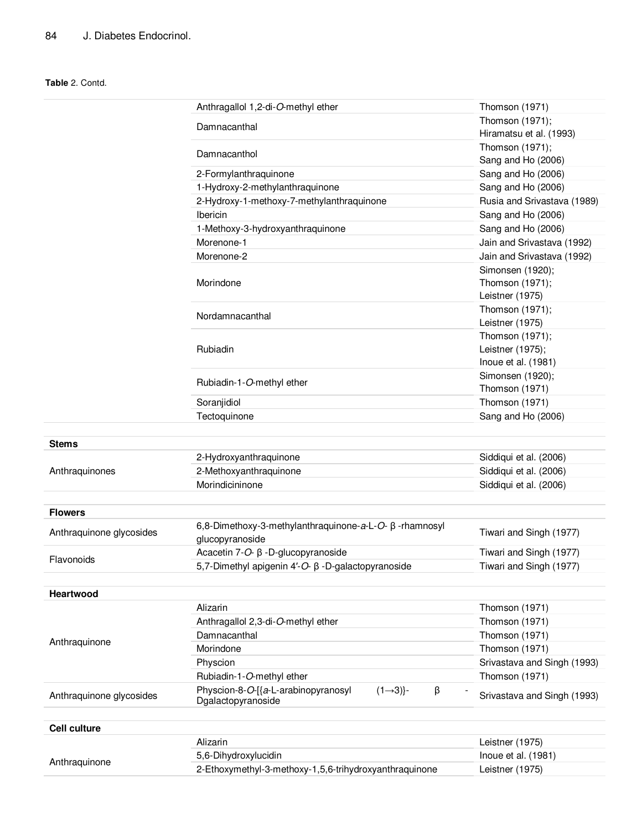|                          | Anthragallol 1,2-di-O-methyl ether                                                       | Thomson (1971)                                             |
|--------------------------|------------------------------------------------------------------------------------------|------------------------------------------------------------|
|                          | Damnacanthal                                                                             | Thomson (1971);<br>Hiramatsu et al. (1993)                 |
|                          | Damnacanthol                                                                             |                                                            |
|                          | 2-Formylanthraquinone                                                                    | Sang and Ho (2006)                                         |
|                          | 1-Hydroxy-2-methylanthraquinone                                                          | Sang and Ho (2006)                                         |
|                          | 2-Hydroxy-1-methoxy-7-methylanthraquinone                                                | Rusia and Srivastava (1989)                                |
|                          | Ibericin                                                                                 | Sang and Ho (2006)                                         |
|                          | 1-Methoxy-3-hydroxyanthraquinone                                                         | Sang and Ho (2006)                                         |
|                          | Morenone-1                                                                               | Jain and Srivastava (1992)                                 |
|                          | Morenone-2                                                                               | Jain and Srivastava (1992)                                 |
|                          | Morindone                                                                                | Simonsen (1920);<br>Thomson (1971);<br>Leistner (1975)     |
|                          | Nordamnacanthal                                                                          | Thomson (1971);<br>Leistner (1975)                         |
|                          | Rubiadin                                                                                 | Thomson (1971);<br>Leistner (1975);<br>Inoue et al. (1981) |
|                          | Rubiadin-1-O-methyl ether                                                                | Simonsen (1920);<br>Thomson (1971)                         |
|                          | Soranjidiol                                                                              | Thomson (1971)                                             |
|                          | Tectoquinone                                                                             | Sang and Ho (2006)                                         |
|                          |                                                                                          |                                                            |
| Stems                    |                                                                                          |                                                            |
|                          | 2-Hydroxyanthraquinone                                                                   | Siddiqui et al. (2006)                                     |
| Anthraquinones           | 2-Methoxyanthraquinone                                                                   | Siddiqui et al. (2006)                                     |
|                          | Morindicininone                                                                          | Siddiqui et al. (2006)                                     |
|                          |                                                                                          |                                                            |
| <b>Flowers</b>           |                                                                                          |                                                            |
| Anthraquinone glycosides | 6,8-Dimethoxy-3-methylanthraquinone-a-L-O-β-rhamnosyl<br>glucopyranoside                 | Tiwari and Singh (1977)                                    |
| Flavonoids               | Acacetin 7-O-β-D-glucopyranoside                                                         | Tiwari and Singh (1977)                                    |
|                          | 5,7-Dimethyl apigenin 4'-O- β -D-galactopyranoside                                       | Tiwari and Singh (1977)                                    |
|                          |                                                                                          |                                                            |
| <b>Heartwood</b>         | Alizarin                                                                                 | Thomson (1971)                                             |
|                          | Anthragallol 2,3-di-O-methyl ether                                                       | Thomson (1971)                                             |
|                          | Damnacanthal                                                                             | Thomson (1971)                                             |
| Anthraquinone            | Morindone                                                                                | Thomson (1971)                                             |
|                          | Physcion                                                                                 | Srivastava and Singh (1993)                                |
|                          | Rubiadin-1-O-methyl ether                                                                | Thomson (1971)                                             |
| Anthraquinone glycosides | Physcion-8-O-[{a-L-arabinopyranosyl<br>β<br>$(1 \rightarrow 3)$ }-<br>Dgalactopyranoside | Srivastava and Singh (1993)                                |
| <b>Cell culture</b>      |                                                                                          |                                                            |
|                          | Alizarin                                                                                 | Leistner (1975)                                            |
|                          | 5,6-Dihydroxylucidin                                                                     | Inoue et al. (1981)                                        |
| Anthraquinone            | 2-Ethoxymethyl-3-methoxy-1,5,6-trihydroxyanthraquinone                                   | Leistner (1975)                                            |
|                          |                                                                                          |                                                            |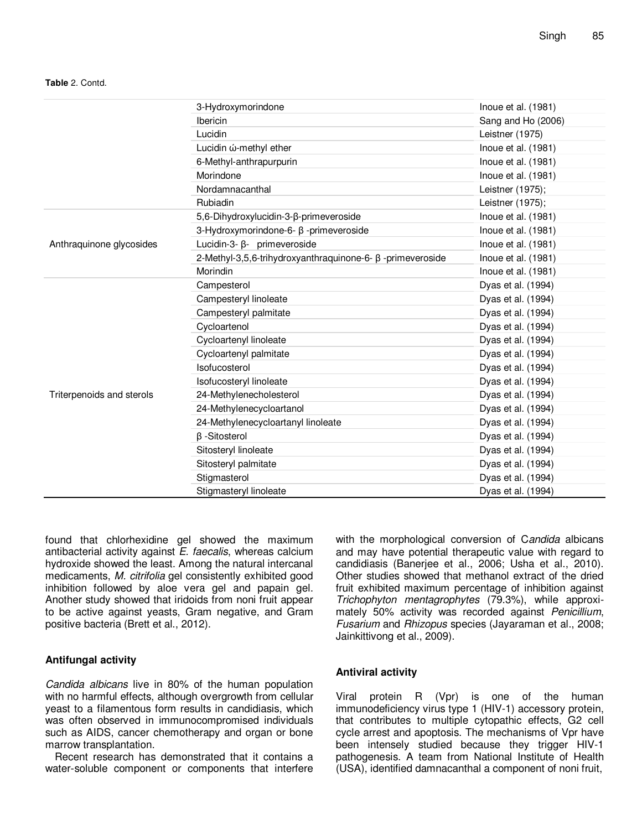|                           | 3-Hydroxymorindone                                        | Inoue et al. (1981) |
|---------------------------|-----------------------------------------------------------|---------------------|
|                           | Ibericin                                                  | Sang and Ho (2006)  |
|                           | Lucidin                                                   | Leistner (1975)     |
|                           | Lucidin ώ-methyl ether                                    | Inoue et al. (1981) |
|                           | 6-Methyl-anthrapurpurin                                   | Inoue et al. (1981) |
|                           | Morindone                                                 | Inoue et al. (1981) |
|                           | Nordamnacanthal                                           | Leistner (1975);    |
|                           | Rubiadin                                                  | Leistner (1975);    |
|                           | 5,6-Dihydroxylucidin-3-β-primeveroside                    | Inoue et al. (1981) |
|                           | 3-Hydroxymorindone-6- β-primeveroside                     | Inoue et al. (1981) |
| Anthraquinone glycosides  | Lucidin-3-β- primeveroside                                | Inoue et al. (1981) |
|                           | 2-Methyl-3,5,6-trihydroxyanthraquinone-6- β-primeveroside | Inoue et al. (1981) |
|                           | Morindin                                                  | Inoue et al. (1981) |
|                           | Campesterol                                               | Dyas et al. (1994)  |
|                           | Campesteryl linoleate                                     | Dyas et al. (1994)  |
|                           | Campesteryl palmitate                                     | Dyas et al. (1994)  |
|                           | Cycloartenol                                              | Dyas et al. (1994)  |
|                           | Cycloartenyl linoleate                                    | Dyas et al. (1994)  |
|                           | Cycloartenyl palmitate                                    | Dyas et al. (1994)  |
|                           | Isofucosterol                                             | Dyas et al. (1994)  |
|                           | Isofucosteryl linoleate                                   | Dyas et al. (1994)  |
| Triterpenoids and sterols | 24-Methylenecholesterol                                   | Dyas et al. (1994)  |
|                           | 24-Methylenecycloartanol                                  | Dyas et al. (1994)  |
|                           | 24-Methylenecycloartanyl linoleate                        | Dyas et al. (1994)  |
|                           | $\beta$ -Sitosterol                                       | Dyas et al. (1994)  |
|                           | Sitosteryl linoleate                                      | Dyas et al. (1994)  |
|                           | Sitosteryl palmitate                                      | Dyas et al. (1994)  |
|                           | Stigmasterol                                              | Dyas et al. (1994)  |
|                           | Stigmasteryl linoleate                                    | Dyas et al. (1994)  |

found that chlorhexidine gel showed the maximum antibacterial activity against *E. faecalis*, whereas calcium hydroxide showed the least. Among the natural intercanal medicaments, *M. citrifolia* gel consistently exhibited good inhibition followed by aloe vera gel and papain gel. Another study showed that iridoids from noni fruit appear to be active against yeasts, Gram negative, and Gram positive bacteria (Brett et al., 2012).

#### **Antifungal activity**

*Candida albicans* live in 80% of the human population with no harmful effects, although overgrowth from cellular yeast to a filamentous form results in candidiasis, which was often observed in immunocompromised individuals such as AIDS, cancer chemotherapy and organ or bone marrow transplantation.

Recent research has demonstrated that it contains a water-soluble component or components that interfere

with the morphological conversion of C*andida* albicans and may have potential therapeutic value with regard to candidiasis (Banerjee et al., 2006; Usha et al., 2010). Other studies showed that methanol extract of the dried fruit exhibited maximum percentage of inhibition against *Trichophyton mentagrophytes* (79.3%), while approximately 50% activity was recorded against *Penicillium*, *Fusarium* and *Rhizopus* species (Jayaraman et al., 2008; Jainkittivong et al., 2009).

#### **Antiviral activity**

Viral protein R (Vpr) is one of the human immunodeficiency virus type 1 (HIV-1) accessory protein, that contributes to multiple cytopathic effects, G2 cell cycle arrest and apoptosis. The mechanisms of Vpr have been intensely studied because they trigger HIV-1 pathogenesis. A team from National Institute of Health (USA), identified damnacanthal a component of noni fruit,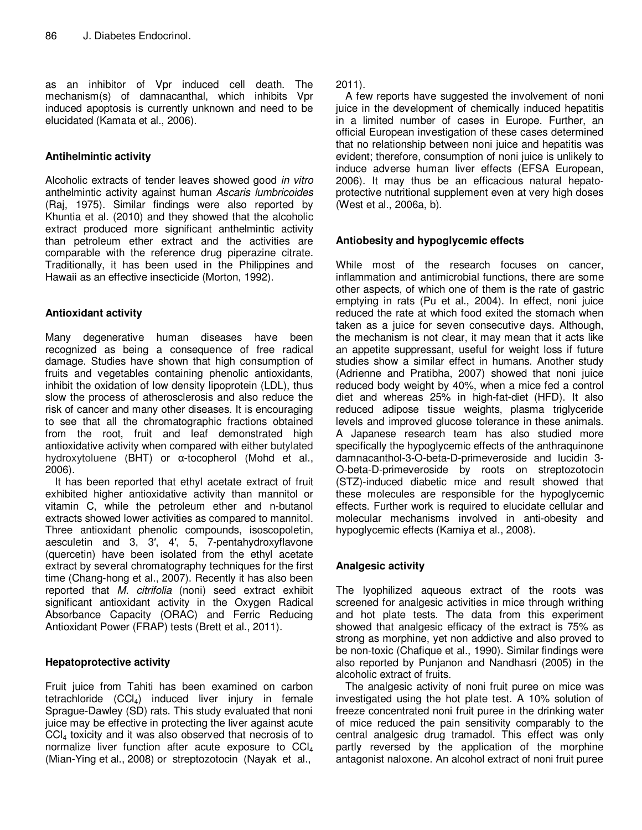as an inhibitor of Vpr induced cell death. The mechanism(s) of damnacanthal, which inhibits Vpr induced apoptosis is currently unknown and need to be elucidated (Kamata et al., 2006).

### **Antihelmintic activity**

Alcoholic extracts of tender leaves showed good *in vitro* anthelmintic activity against human *Ascaris lumbricoides*  (Raj, 1975). Similar findings were also reported by Khuntia et al. (2010) and they showed that the alcoholic extract produced more significant anthelmintic activity than petroleum ether extract and the activities are comparable with the reference drug piperazine citrate. Traditionally, it has been used in the Philippines and Hawaii as an effective insecticide (Morton, 1992).

### **Antioxidant activity**

Many degenerative human diseases have been recognized as being a consequence of free radical damage. Studies have shown that high consumption of fruits and vegetables containing phenolic antioxidants, inhibit the oxidation of low density lipoprotein (LDL), thus slow the process of atherosclerosis and also reduce the risk of cancer and many other diseases. It is encouraging to see that all the chromatographic fractions obtained from the root, fruit and leaf demonstrated high antioxidative activity when compared with either butylated hydroxytoluene (BHT) or α-tocopherol (Mohd et al., 2006).

It has been reported that ethyl acetate extract of fruit exhibited higher antioxidative activity than mannitol or vitamin C, while the petroleum ether and n-butanol extracts showed lower activities as compared to mannitol. Three antioxidant phenolic compounds, isoscopoletin, aesculetin and 3, 3′, 4′, 5, 7-pentahydroxyflavone (quercetin) have been isolated from the ethyl acetate extract by several chromatography techniques for the first time (Chang-hong et al., 2007). Recently it has also been reported that *M. citrifolia* (noni) seed extract exhibit significant antioxidant activity in the Oxygen Radical Absorbance Capacity (ORAC) and Ferric Reducing Antioxidant Power (FRAP) tests (Brett et al., 2011).

## **Hepatoprotective activity**

Fruit juice from Tahiti has been examined on carbon tetrachloride (CCl4) induced liver injury in female Sprague-Dawley (SD) rats. This study evaluated that noni juice may be effective in protecting the liver against acute CCl4 toxicity and it was also observed that necrosis of to normalize liver function after acute exposure to CCl<sup>4</sup> (Mian-Ying et al., 2008) or streptozotocin (Nayak et al.,

2011).

A few reports have suggested the involvement of noni juice in the development of chemically induced hepatitis in a limited number of cases in Europe. Further, an official European investigation of these cases determined that no relationship between noni juice and hepatitis was evident; therefore, consumption of noni juice is unlikely to induce adverse human liver effects (EFSA European, 2006). It may thus be an efficacious natural hepatoprotective nutritional supplement even at very high doses (West et al., 2006a, b).

### **Antiobesity and hypoglycemic effects**

While most of the research focuses on cancer, inflammation and antimicrobial functions, there are some other aspects, of which one of them is the rate of gastric emptying in rats (Pu et al., 2004). In effect, noni juice reduced the rate at which food exited the stomach when taken as a juice for seven consecutive days. Although, the mechanism is not clear, it may mean that it acts like an appetite suppressant, useful for weight loss if future studies show a similar effect in humans. Another study (Adrienne and Pratibha, 2007) showed that noni juice reduced body weight by 40%, when a mice fed a control diet and whereas 25% in high-fat-diet (HFD). It also reduced adipose tissue weights, plasma triglyceride levels and improved glucose tolerance in these animals. A Japanese research team has also studied more specifically the hypoglycemic effects of the anthraquinone damnacanthol-3-O-beta-D-primeveroside and lucidin 3- O-beta-D-primeveroside by roots on streptozotocin (STZ)-induced diabetic mice and result showed that these molecules are responsible for the hypoglycemic effects. Further work is required to elucidate cellular and molecular mechanisms involved in anti-obesity and hypoglycemic effects (Kamiya et al., 2008).

## **Analgesic activity**

The lyophilized aqueous extract of the roots was screened for analgesic activities in mice through writhing and hot plate tests. The data from this experiment showed that analgesic efficacy of the extract is 75% as strong as morphine, yet non addictive and also proved to be non-toxic (Chafique et al., 1990). Similar findings were also reported by Punjanon and Nandhasri (2005) in the alcoholic extract of fruits.

The analgesic activity of noni fruit puree on mice was investigated using the hot plate test. A 10% solution of freeze concentrated noni fruit puree in the drinking water of mice reduced the pain sensitivity comparably to the central analgesic drug tramadol. This effect was only partly reversed by the application of the morphine antagonist naloxone. An alcohol extract of noni fruit puree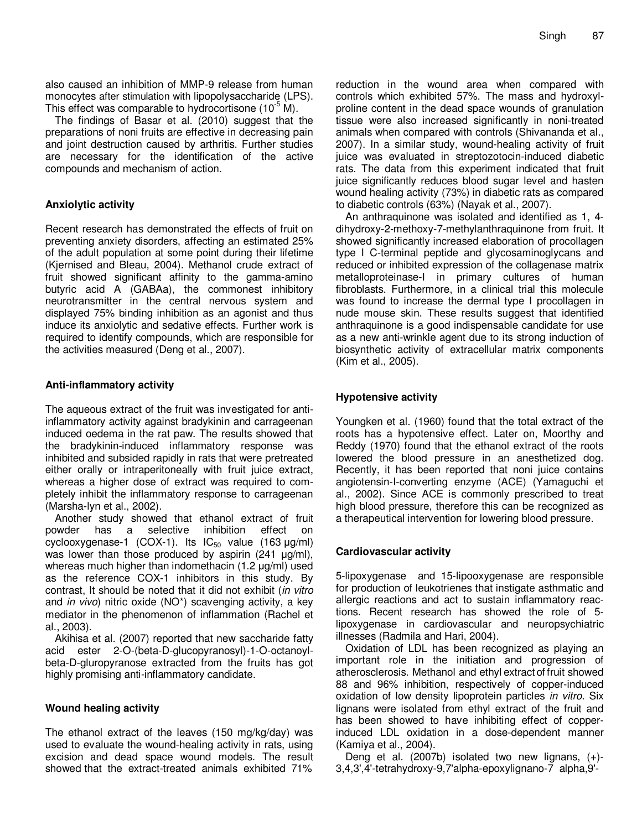also caused an inhibition of MMP-9 release from human monocytes after stimulation with lipopolysaccharide (LPS). This effect was comparable to hydrocortisone  $(10^{-5}$  M).

The findings of Basar et al. (2010) suggest that the preparations of noni fruits are effective in decreasing pain and joint destruction caused by arthritis. Further studies are necessary for the identification of the active compounds and mechanism of action.

#### **Anxiolytic activity**

Recent research has demonstrated the effects of fruit on preventing anxiety disorders, affecting an estimated 25% of the adult population at some point during their lifetime (Kjernised and Bleau, 2004). Methanol crude extract of fruit showed significant affinity to the gamma-amino butyric acid A (GABAa), the commonest inhibitory neurotransmitter in the central nervous system and displayed 75% binding inhibition as an agonist and thus induce its anxiolytic and sedative effects. Further work is required to identify compounds, which are responsible for the activities measured (Deng et al., 2007).

#### **Anti-inflammatory activity**

The aqueous extract of the fruit was investigated for antiinflammatory activity against bradykinin and carrageenan induced oedema in the rat paw. The results showed that the bradykinin-induced inflammatory response was inhibited and subsided rapidly in rats that were pretreated either orally or intraperitoneally with fruit juice extract, whereas a higher dose of extract was required to completely inhibit the inflammatory response to carrageenan (Marsha-lyn et al., 2002).

Another study showed that ethanol extract of fruit powder has a selective inhibition effect on cyclooxygenase-1 (COX-1). Its  $IC_{50}$  value (163 µg/ml) was lower than those produced by aspirin (241 µg/ml), whereas much higher than indomethacin (1.2 µg/ml) used as the reference COX-1 inhibitors in this study. By contrast, It should be noted that it did not exhibit (*in vitro*  and *in vivo*) nitric oxide (NO\*) scavenging activity, a key mediator in the phenomenon of inflammation (Rachel et al., 2003).

Akihisa et al. (2007) reported that new saccharide fatty acid ester 2-O-(beta-D-glucopyranosyl)-1-O-octanoylbeta-D-gluropyranose extracted from the fruits has got highly promising anti-inflammatory candidate.

#### **Wound healing activity**

The ethanol extract of the leaves (150 mg/kg/day) was used to evaluate the wound-healing activity in rats, using excision and dead space wound models. The result showed that the extract-treated animals exhibited 71%

reduction in the wound area when compared with controls which exhibited 57%. The mass and hydroxylproline content in the dead space wounds of granulation tissue were also increased significantly in noni-treated animals when compared with controls (Shivananda et al., 2007). In a similar study, wound-healing activity of fruit juice was evaluated in streptozotocin-induced diabetic rats. The data from this experiment indicated that fruit juice significantly reduces blood sugar level and hasten wound healing activity (73%) in diabetic rats as compared to diabetic controls (63%) (Nayak et al., 2007).

An anthraquinone was isolated and identified as 1, 4 dihydroxy-2-methoxy-7-methylanthraquinone from fruit. It showed significantly increased elaboration of procollagen type I C-terminal peptide and glycosaminoglycans and reduced or inhibited expression of the collagenase matrix metalloproteinase-I in primary cultures of human fibroblasts. Furthermore, in a clinical trial this molecule was found to increase the dermal type I procollagen in nude mouse skin. These results suggest that identified anthraquinone is a good indispensable candidate for use as a new anti-wrinkle agent due to its strong induction of biosynthetic activity of extracellular matrix components (Kim et al., 2005).

#### **Hypotensive activity**

Youngken et al. (1960) found that the total extract of the roots has a hypotensive effect. Later on, Moorthy and Reddy (1970) found that the ethanol extract of the roots lowered the blood pressure in an anesthetized dog. Recently, it has been reported that noni juice contains angiotensin-I-converting enzyme (ACE) (Yamaguchi et al., 2002). Since ACE is commonly prescribed to treat high blood pressure, therefore this can be recognized as a therapeutical intervention for lowering blood pressure.

#### **Cardiovascular activity**

5-lipoxygenase and 15-lipooxygenase are responsible for production of leukotrienes that instigate asthmatic and allergic reactions and act to sustain inflammatory reactions. Recent research has showed the role of 5 lipoxygenase in cardiovascular and neuropsychiatric illnesses (Radmila and Hari, 2004).

Oxidation of LDL has been recognized as playing an important role in the initiation and progression of atherosclerosis. Methanol and ethyl extract of fruit showed 88 and 96% inhibition, respectively of copper-induced oxidation of low density lipoprotein particles *in vitro*. Six lignans were isolated from ethyl extract of the fruit and has been showed to have inhibiting effect of copperinduced LDL oxidation in a dose-dependent manner (Kamiya et al., 2004).

Deng et al. (2007b) isolated two new lignans, (+)- 3,4,3',4'-tetrahydroxy-9,7'alpha-epoxylignano-7 alpha,9'-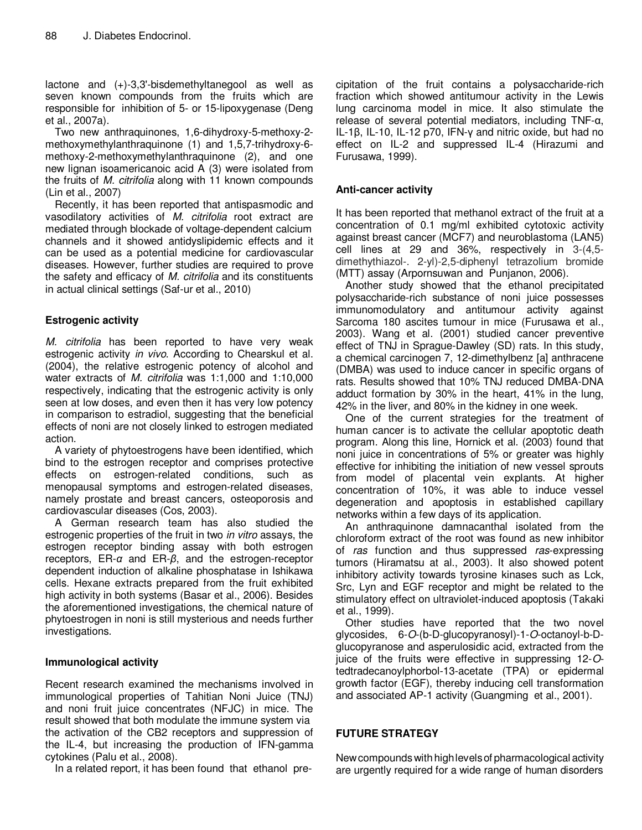lactone and (+)-3,3'-bisdemethyltanegool as well as seven known compounds from the fruits which are responsible for inhibition of 5- or 15-lipoxygenase (Deng et al., 2007a).

Two new anthraquinones, 1,6-dihydroxy-5-methoxy-2 methoxymethylanthraquinone (1) and 1,5,7-trihydroxy-6 methoxy-2-methoxymethylanthraquinone (2), and one new lignan isoamericanoic acid A (3) were isolated from the fruits of *M. citrifolia* along with 11 known compounds (Lin et al., 2007)

Recently, it has been reported that antispasmodic and vasodilatory activities of *M. citrifolia* root extract are mediated through blockade of voltage-dependent calcium channels and it showed antidyslipidemic effects and it can be used as a potential medicine for cardiovascular diseases. However, further studies are required to prove the safety and efficacy of *M. citrifolia* and its constituents in actual clinical settings (Saf-ur et al., 2010)

# **Estrogenic activity**

*M. citrifolia* has been reported to have very weak estrogenic activity *in vivo*. According to Chearskul et al. (2004), the relative estrogenic potency of alcohol and water extracts of *M. citrifolia* was 1:1,000 and 1:10,000 respectively, indicating that the estrogenic activity is only seen at low doses, and even then it has very low potency in comparison to estradiol, suggesting that the beneficial effects of noni are not closely linked to estrogen mediated action.

A variety of phytoestrogens have been identified, which bind to the estrogen receptor and comprises protective effects on estrogen-related conditions, such as menopausal symptoms and estrogen-related diseases, namely prostate and breast cancers, osteoporosis and cardiovascular diseases (Cos, 2003).

A German research team has also studied the estrogenic properties of the fruit in two *in vitro* assays, the estrogen receptor binding assay with both estrogen receptors, ER-*α* and ER-*β*, and the estrogen-receptor dependent induction of alkaline phosphatase in Ishikawa cells. Hexane extracts prepared from the fruit exhibited high activity in both systems (Basar et al., 2006). Besides the aforementioned investigations, the chemical nature of phytoestrogen in noni is still mysterious and needs further investigations.

## **Immunological activity**

Recent research examined the mechanisms involved in immunological properties of Tahitian Noni Juice (TNJ) and noni fruit juice concentrates (NFJC) in mice. The result showed that both modulate the immune system via the activation of the CB2 receptors and suppression of the IL-4, but increasing the production of IFN-gamma cytokines (Palu et al., 2008).

In a related report, it has been found that ethanol pre-

cipitation of the fruit contains a polysaccharide-rich fraction which showed antitumour activity in the Lewis lung carcinoma model in mice. It also stimulate the release of several potential mediators, including TNF-α, IL-1β, IL-10, IL-12 p70, IFN-γ and nitric oxide, but had no effect on IL-2 and suppressed IL-4 (Hirazumi and Furusawa, 1999).

## **Anti-cancer activity**

It has been reported that methanol extract of the fruit at a concentration of 0.1 mg/ml exhibited cytotoxic activity against breast cancer (MCF7) and neuroblastoma (LAN5) cell lines at 29 and 36%, respectively in 3-(4,5 dimethythiazol-. 2-yl)-2,5-diphenyl tetrazolium bromide (MTT) assay (Arpornsuwan and Punjanon, 2006).

Another study showed that the ethanol precipitated polysaccharide-rich substance of noni juice possesses immunomodulatory and antitumour activity against Sarcoma 180 ascites tumour in mice (Furusawa et al., 2003). Wang et al. (2001) studied cancer preventive effect of TNJ in Sprague-Dawley (SD) rats. In this study, a chemical carcinogen 7, 12-dimethylbenz [a] anthracene (DMBA) was used to induce cancer in specific organs of rats. Results showed that 10% TNJ reduced DMBA-DNA adduct formation by 30% in the heart, 41% in the lung, 42% in the liver, and 80% in the kidney in one week.

One of the current strategies for the treatment of human cancer is to activate the cellular apoptotic death program. Along this line, Hornick et al. (2003) found that noni juice in concentrations of 5% or greater was highly effective for inhibiting the initiation of new vessel sprouts from model of placental vein explants. At higher concentration of 10%, it was able to induce vessel degeneration and apoptosis in established capillary networks within a few days of its application.

An anthraquinone damnacanthal isolated from the chloroform extract of the root was found as new inhibitor of *ras* function and thus suppressed *ras*-expressing tumors (Hiramatsu at al., 2003). It also showed potent inhibitory activity towards tyrosine kinases such as Lck, Src, Lyn and EGF receptor and might be related to the stimulatory effect on ultraviolet-induced apoptosis (Takaki et al., 1999).

Other studies have reported that the two novel glycosides, 6-*O*-(b-D-glucopyranosyl)-1-*O*-octanoyl-b-Dglucopyranose and asperulosidic acid, extracted from the juice of the fruits were effective in suppressing 12-*O*tedtradecanoylphorbol-13-acetate (TPA) or epidermal growth factor (EGF), thereby inducing cell transformation and associated AP-1 activity (Guangming et al., 2001).

## **FUTURE STRATEGY**

New compounds with high levels of pharmacological activity are urgently required for a wide range of human disorders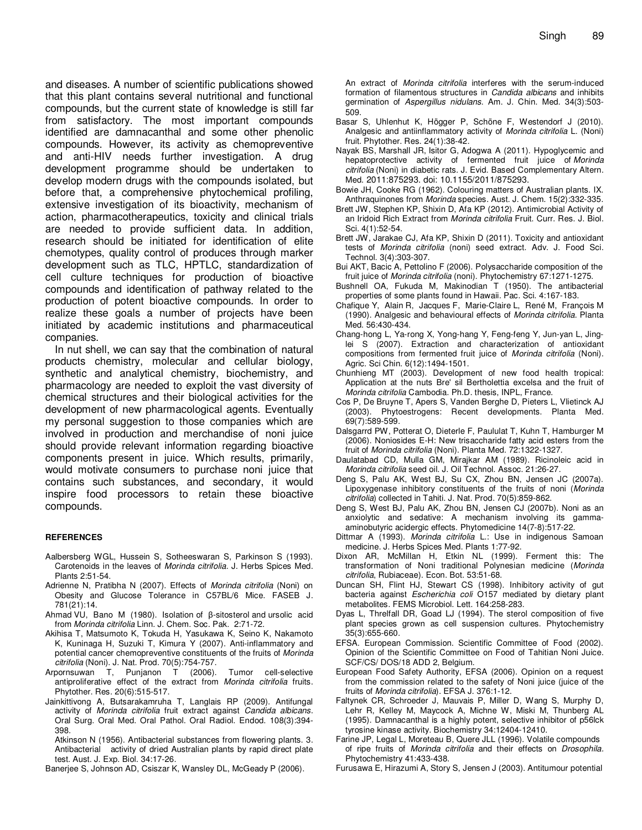and diseases. A number of scientific publications showed that this plant contains several nutritional and functional compounds, but the current state of knowledge is still far from satisfactory. The most important compounds identified are damnacanthal and some other phenolic compounds. However, its activity as chemopreventive and anti-HIV needs further investigation. A drug development programme should be undertaken to develop modern drugs with the compounds isolated, but before that, a comprehensive phytochemical profiling, extensive investigation of its bioactivity, mechanism of action, pharmacotherapeutics, toxicity and clinical trials are needed to provide sufficient data. In addition, research should be initiated for identification of elite chemotypes, quality control of produces through marker development such as TLC, HPTLC, standardization of cell culture techniques for production of bioactive compounds and identification of pathway related to the production of potent bioactive compounds. In order to realize these goals a number of projects have been initiated by academic institutions and pharmaceutical companies.

In nut shell, we can say that the combination of natural products chemistry, molecular and cellular biology, synthetic and analytical chemistry, biochemistry, and pharmacology are needed to exploit the vast diversity of chemical structures and their biological activities for the development of new pharmacological agents. Eventually my personal suggestion to those companies which are involved in production and merchandise of noni juice should provide relevant information regarding bioactive components present in juice. Which results, primarily, would motivate consumers to purchase noni juice that contains such substances, and secondary, it would inspire food processors to retain these bioactive compounds.

#### **REFERENCES**

- Aalbersberg WGL, Hussein S, Sotheeswaran S, Parkinson S (1993). Carotenoids in the leaves of *Morinda citrifolia.* J. Herbs Spices Med. Plants 2:51-54.
- Adrienne N, Pratibha N (2007). Effects of *Morinda citrifolia* (Noni) on Obesity and Glucose Tolerance in C57BL/6 Mice. FASEB J. 781(21):14.
- Ahmad VU, Bano M (1980). Isolation of β-sitosterol and ursolic acid from *Morinda citrifolia* Linn. J. Chem. Soc. Pak. 2:71-72.
- Akihisa T, Matsumoto K, Tokuda H, Yasukawa K, Seino K, Nakamoto K, Kuninaga H, Suzuki T, Kimura Y (2007). Anti-inflammatory and potential cancer chemopreventive constituents of the fruits of *Morinda citrifolia* (Noni). J. Nat. Prod. 70(5):754-757.
- Arpornsuwan T, Punjanon T (2006). Tumor cell-selective antiproliferative effect of the extract from *Morinda citrifolia* fruits. Phytother. Res. 20(6):515-517.
- Jainkittivong A, Butsarakamruha T, Langlais RP (2009). Antifungal activity of *Morinda citrifolia* fruit extract against *Candida albicans*. Oral Surg. Oral Med. Oral Pathol. Oral Radiol. Endod. 108(3):394- 398.

Atkinson N (1956). Antibacterial substances from flowering plants. 3. Antibacterial activity of dried Australian plants by rapid direct plate test. Aust. J. Exp. Biol. 34:17-26.

Banerjee S, Johnson AD, Csiszar K, Wansley DL, McGeady P (2006).

An extract of *Morinda citrifolia* interferes with the serum-induced formation of filamentous structures in *Candida albicans* and inhibits germination of *Aspergillus nidulans*. Am. J. Chin. Med. 34(3):503- 509.

- Basar S, Uhlenhut K, Högger P, Schöne F, Westendorf J (2010). Analgesic and antiinflammatory activity of *Morinda citrifolia* L. (Noni) fruit. Phytother. Res. 24(1):38-42.
- Nayak BS, Marshall JR, Isitor G, Adogwa A (2011). Hypoglycemic and hepatoprotective activity of fermented fruit juice of *Morinda citrifolia* (Noni) in diabetic rats. J. Evid. Based Complementary Altern. Med. 2011:875293. doi: 10.1155/2011/875293.
- Bowie JH, Cooke RG (1962). Colouring matters of Australian plants. IX. Anthraquinones from *Morinda* species. Aust. J. Chem. 15(2):332-335.
- Brett JW, Stephen KP, Shixin D, Afa KP (2012). Antimicrobial Activity of an Iridoid Rich Extract from *Morinda citrifolia* Fruit. Curr. Res. J. Biol. Sci. 4(1):52-54.
- Brett JW, Jarakae CJ, Afa KP, Shixin D (2011). Toxicity and antioxidant tests of *Morinda citrifolia* (noni) seed extract. Adv. J. Food Sci. Technol. 3(4):303-307.
- Bui AKT, Bacic A, Pettolino F (2006). Polysaccharide composition of the fruit juice of *Morinda citrifolia* (noni). Phytochemistry 67:1271-1275.
- Bushnell OA, Fukuda M, Makinodian T (1950). The antibacterial properties of some plants found in Hawaii. Pac. Sci. 4:167-183.
- Chafique Y, Alain R, Jacques F, Marie-Claire L, René M, François M (1990). Analgesic and behavioural effects of *Morinda citrifolia*. Planta Med. 56:430-434.
- Chang-hong L, Ya-rong X, Yong-hang Y, Feng-feng Y, Jun-yan L, Jinglei S (2007). Extraction and characterization of antioxidant compositions from fermented fruit juice of *Morinda citrifolia* (Noni). Agric. Sci Chin. 6(12):1494-1501.
- Chunhieng MT (2003). Development of new food health tropical: Application at the nuts Bre' sil Bertholettia excelsa and the fruit of *Morinda citrifolia* Cambodia. Ph.D. thesis, INPL, France.
- Cos P, De Bruyne T, Apers S, Vanden Berghe D, Pieters L, Vlietinck AJ (2003). Phytoestrogens: Recent developments. Planta Med. 69(7):589-599.
- Dalsgarrd PW, Potterat O, Dieterle F, Paululat T, Kuhn T, Hamburger M (2006). Noniosides E-H: New trisaccharide fatty acid esters from the fruit of *Morinda citrifolia* (Noni). Planta Med. 72:1322-1327.
- Daulatabad CD, Mulla GM, Mirajkar AM (1989). Ricinoleic acid in *Morinda citrifolia* seed oil. J. Oil Technol. Assoc. 21:26-27.
- Deng S, Palu AK, West BJ, Su CX, Zhou BN, Jensen JC (2007a). Lipoxygenase inhibitory constituents of the fruits of noni (*Morinda citrifolia*) collected in Tahiti. J. Nat. Prod. 70(5):859-862.
- Deng S, West BJ, Palu AK, Zhou BN, Jensen CJ (2007b). Noni as an anxiolytic and sedative: A mechanism involving its gammaaminobutyric acidergic effects. Phytomedicine 14(7-8):517-22.
- Dittmar A (1993). *Morinda citrifolia* L.: Use in indigenous Samoan medicine. J. Herbs Spices Med. Plants 1:77-92.
- Dixon AR, McMillan H, Etkin NL (1999). Ferment this: The transformation of Noni traditional Polynesian medicine (*Morinda citrifolia*, Rubiaceae). Econ. Bot. 53:51-68.
- Duncan SH, Flint HJ, Stewart CS (1998). Inhibitory activity of gut bacteria against *Escherichia coli* O157 mediated by dietary plant metabolites. FEMS Microbiol. Lett. 164:258-283.
- Dyas L, Threlfall DR, Goad LJ (1994). The sterol composition of five plant species grown as cell suspension cultures. Phytochemistry 35(3):655-660.
- EFSA. European Commission. Scientific Committee of Food (2002). Opinion of the Scientific Committee on Food of Tahitian Noni Juice. SCF/CS/ DOS/18 ADD 2, Belgium.
- European Food Safety Authority, EFSA (2006). Opinion on a request from the commission related to the safety of Noni juice (juice of the fruits of *Morinda citrifolia*). EFSA J. 376:1-12.
- Faltynek CR, Schroeder J, Mauvais P, Miller D, Wang S, Murphy D, Lehr R, Kelley M, Maycock A, Michne W, Miski M, Thunberg AL (1995). Damnacanthal is a highly potent, selective inhibitor of p56lck tyrosine kinase activity. Biochemistry 34:12404-12410.
- Farine JP, Legal L, Moreteau B, Quere JLL (1996). Volatile compounds of ripe fruits of *Morinda citrifolia* and their effects on *Drosophila.* Phytochemistry 41:433-438.
- Furusawa E, Hirazumi A, Story S, Jensen J (2003). Antitumour potential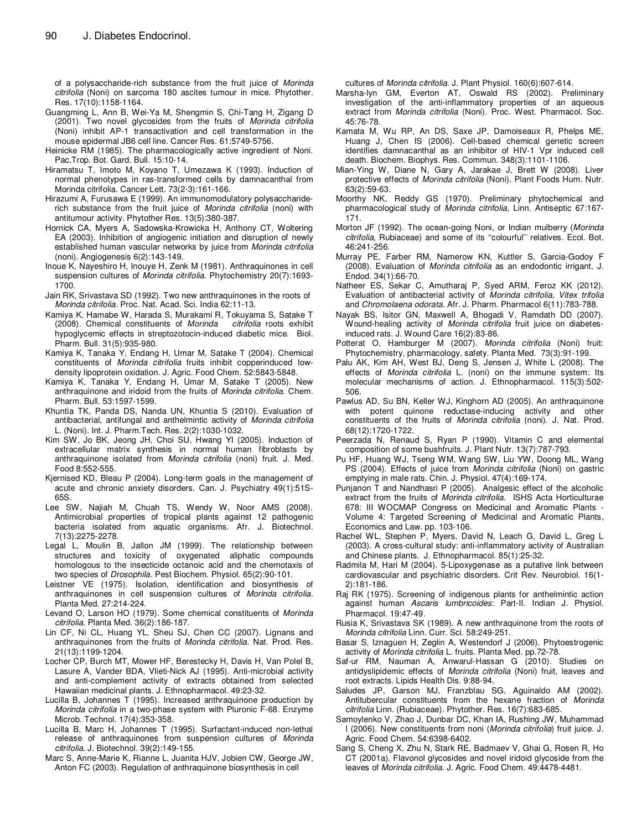of a polysaccharide-rich substance from the fruit juice of *Morinda citrifolia* (Noni) on sarcoma 180 ascites tumour in mice. Phytother. Res. 17(10):1158-1164.

- Guangming L, Ann B, Wei-Ya M, Shengmin S, Chi-Tang H, Zigang D (2001). Two novel glycosides from the fruits of *Morinda citrifolia*  (Noni) inhibit AP-1 transactivation and cell transformation in the mouse epidermal JB6 cell line. Cancer Res. 61:5749-5756.
- Heinicke RM (1985). The pharmacologically active ingredient of Noni. Pac.Trop. Bot. Gard. Bull. 15:10-14.
- Hiramatsu T, Imoto M, Koyano T, Umezawa K (1993). Induction of normal phenotypes in ras-transformed cells by damnacanthal from Morinda citrifolia. Cancer Lett. 73(2-3):161-166.
- Hirazumi A, Furusawa E (1999). An immunomodulatory polysacchariderich substance from the fruit juice of *Morinda citrifolia* (noni) with antitumour activity. Phytother Res*.* 13(5):380-387.
- Hornick CA, Myers A, Sadowska-Krowicka H, Anthony CT, Woltering EA (2003). Inhibition of angiogenic initiation and disruption of newly established human vascular networks by juice from *Morinda citrifolia* (noni). Angiogenesis 6(2):143-149.
- Inoue K, Nayeshiro H, Inouye H, Zenk M (1981). Anthraquinones in cell suspension cultures of *Morinda citrifolia.* Phytochemistry 20(7):1693- 1700.
- Jain RK, Srivastava SD (1992). Two new anthraquinones in the roots of *Morinda citrifolia.* Proc. Nat. Acad. Sci. India 62:11-13.
- Kamiya K, Hamabe W, Harada S, Murakami R, Tokuyama S, Satake T (2008). Chemical constituents of *Morinda citrifolia* roots exhibit hypoglycemic effects in streptozotocin-induced diabetic mice. Biol. Pharm. Bull. 31(5):935-980.
- Kamiya K, Tanaka Y, Endang H, Umar M, Satake T (2004). Chemical constituents of *Morinda citrifolia* fruits inhibit copperinduced lowdensity lipoprotein oxidation. J. Agric. Food Chem. 52:5843-5848.
- Kamiya K, Tanaka Y, Endang H, Umar M, Satake T (2005). New anthraquinone and iridoid from the fruits of *Morinda citrifolia*. Chem. Pharm. Bull. 53:1597-1599.
- Khuntia TK, Panda DS, Nanda UN, Khuntia S (2010). Evaluation of antibacterial, antifungal and anthelmintic activity of *Morinda citrifolia* L. (Noni). Int. J. Pharm.Tech. Res. 2(2):1030-1032.
- Kim SW, Jo BK, Jeong JH, Choi SU, Hwang YI (2005). Induction of extracellular matrix synthesis in normal human fibroblasts by anthraquinone isolated from *Morinda citrifolia* (noni) fruit. J. Med. Food 8:552-555.
- Kjernised KD, Bleau P (2004). Long-term goals in the management of acute and chronic anxiety disorders. Can. J. Psychiatry 49(1):51S-65S.
- Lee SW, Najiah M, Chuah TS, Wendy W, Noor AMS (2008). Antimicrobial properties of tropical plants against 12 pathogenic bacteria isolated from aquatic organisms. Afr. J. Biotechnol. 7(13):2275-2278.
- Legal L, Moulin B, Jallon JM (1999). The relationship between structures and toxicity of oxygenated aliphatic compounds homologous to the insecticide octanoic acid and the chemotaxis of two species of *Drosophila.* Pest Biochem. Physiol. 65(2):90-101.
- Leistner VE (1975). Isolation, identification and biosynthesis of anthraquinones in cell suspension cultures of *Morinda citrifolia.*  Planta Med. 27:214-224.
- Levand O, Larson HO (1979). Some chemical constituents of *Morinda citrifolia.* Planta Med. 36(2):186-187.
- Lin CF, Ni CL, Huang YL, Sheu SJ, Chen CC (2007). Lignans and anthraquinones from the fruits of *Morinda citrifolia*. Nat. Prod. Res. 21(13):1199-1204.
- Locher CP, Burch MT, Mower HF, Berestecky H, Davis H, Van Polel B, Lasure A, Vander BDA, Vlieti-Nick AJ (1995). Anti-microbial activity and anti-complement activity of extracts obtained from selected Hawaiian medicinal plants. J. Ethnopharmacol. 49:23-32.
- Lucilla B, Johannes T (1995). Increased anthraquinone production by *Morinda citrifolia* in a two-phase system with Pluronic F-68. Enzyme Microb. Technol. 17(4):353-358.
- Lucilla B, Marc H, Johannes T (1995). Surfactant-induced non-lethal release of anthraquinones from suspension cultures of *Morinda citrifolia.* J. Biotechnol. 39(2):149-155.
- Marc S, Anne-Marie K, Rianne L, Juanita HJV, Jobien CW, George JW, Anton FC (2003). Regulation of anthraquinone biosynthesis in cell

cultures of *Morinda citrifolia*. J. Plant Physiol. 160(6):607-614.

- Marsha-lyn GM, Everton AT, Oswald RS (2002). Preliminary investigation of the anti-inflammatory properties of an aqueous extract from *Morinda citrifolia* (Noni). Proc. West. Pharmacol. Soc. 45:76-78.
- Kamata M, Wu RP, An DS, Saxe JP, Damoiseaux R, Phelps ME, Huang J, Chen IS (2006). Cell-based chemical genetic screen identifies damnacanthal as an inhibitor of HIV-1 Vpr induced cell death. Biochem. Biophys. Res. Commun. 348(3):1101-1106.
- Mian-Ying W, Diane N, Gary A, Jarakae J, Brett W (2008). Liver protective effects of *Morinda citrifolia* (Noni). Plant Foods Hum. Nutr. 63(2):59-63.
- Moorthy NK, Reddy GS (1970). Preliminary phytochemical and pharmacological study of *Morinda citrifolia*, Linn. Antiseptic 67:167- 171.
- Morton JF (1992). The ocean-going Noni, or Indian mulberry (*Morinda citrifolia*, Rubiaceae) and some of its ''colourful'' relatives. Ecol. Bot. 46:241-256.
- Murray PE, Farber RM, Namerow KN, Kuttler S, Garcia-Godoy F (2008). Evaluation of *Morinda citrifolia* as an endodontic irrigant. J. Endod. 34(1):66-70.
- Natheer ES, Sekar C, Amutharaj P, Syed ARM, Feroz KK (2012). Evaluation of antibacterial activity of *Morinda citrifolia*, *Vitex trifolia* and *Chromolaena odorata*. Afr. J. Pharm. Pharmacol 6(11):783-788.
- Nayak BS, Isitor GN, Maxwell A, Bhogadi V, Ramdath DD (2007). Wound-healing activity of *Morinda citrifolia* fruit juice on diabetesinduced rats. J. Wound Care 16(2):83-86.
- Potterat O, Hamburger M (2007). *Morinda citrifolia* (Noni) fruit: Phytochemistry, pharmacology, safety. Planta Med. 73(3):91-199.
- Palu AK, Kim AH, West BJ, Deng S, Jensen J, White L (2008). The effects of *Morinda citrifolia* L. (noni) on the immune system: Its molecular mechanisms of action. J. Ethnopharmacol. 115(3):502- 506.
- Pawlus AD, Su BN, Keller WJ, Kinghorn AD (2005). An anthraquinone with potent quinone reductase-inducing activity and other constituents of the fruits of *Morinda citrifolia* (noni). J. Nat. Prod. 68(12):1720-1722.
- Peerzada N, Renaud S, Ryan P (1990). Vitamin C and elemental composition of some bushfruits. J. Plant Nutr. 13(7):787-793.
- Pu HF, Huang WJ, Tseng WM, Wang SW, Liu YW, Doong ML, Wang PS (2004). Effects of juice from *Morinda citrifolia* (Noni) on gastric emptying in male rats. Chin. J. Physiol. 47(4):169-174.
- Punjanon T and Nandhasri P (2005). Analgesic effect of the alcoholic extract from the fruits of *Morinda citrifolia*. ISHS Acta Horticulturae 678: III WOCMAP Congress on Medicinal and Aromatic Plants - Volume 4: Targeted Screening of Medicinal and Aromatic Plants, Economics and Law. pp. 103-106.
- Rachel WL, Stephen P, Myers, David N, Leach G, David L, Greg L (2003). A cross-cultural study: anti-inflammatory activity of Australian and Chinese plants. J. Ethnopharmacol. 85(1):25-32.
- Radmila M, Hari M (2004). 5-Lipoxygenase as a putative link between cardiovascular and psychiatric disorders. Crit Rev. Neurobiol. 16(1- 2):181-186.
- Raj RK (1975). Screening of indigenous plants for anthelmintic action against human *Ascaris lumbricoides*: Part-II. Indian J. Physiol. Pharmacol. 19:47-49.
- Rusia K, Srivastava SK (1989). A new anthraquinone from the roots of *Morinda citrifolia* Linn. Curr. Sci. 58:249-251.
- Basar S, Iznaguen H, Zeglin A, Westendorf J (2006). Phytoestrogenic activity of *Morinda citrifolia* L. fruits. Planta Med. pp.72-78.
- Saf-ur RM, Nauman A, Anwarul-Hassan G (2010). Studies on antidyslipidemic effects of *Morinda citrifolia* (Noni) fruit, leaves and root extracts. Lipids Health Dis. 9:88-94.
- Saludes JP, Garson MJ, Franzblau SG, Aguinaldo AM (2002). Antitubercular constituents from the hexane fraction of *Morinda citrifolia* Linn. (Rubiaceae). Phytother. Res. 16(7):683-685.
- Samoylenko V, Zhao J, Dunbar DC, Khan IA, Rushing JW, Muhammad I (2006). New constituents from noni (*Morinda citrifolia*) fruit juice. J. Agric. Food Chem. 54:6398-6402.
- Sang S, Cheng X, Zhu N, Stark RE, Badmaev V, Ghai G, Rosen R, Ho CT (2001a). Flavonol glycosides and novel iridoid glycoside from the leaves of *Morinda citrifolia*. J. Agric. Food Chem. 49:4478-4481.